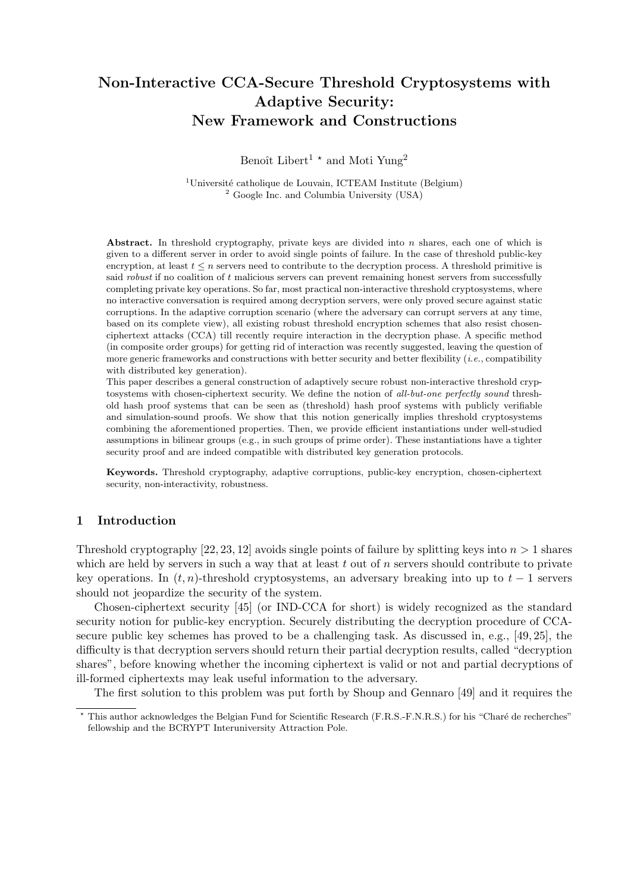# Non-Interactive CCA-Secure Threshold Cryptosystems with Adaptive Security: New Framework and Constructions

Benoît Libert<sup>1</sup>  $\star$  and Moti Yung<sup>2</sup>

 $1$ Université catholique de Louvain, ICTEAM Institute (Belgium) <sup>2</sup> Google Inc. and Columbia University (USA)

Abstract. In threshold cryptography, private keys are divided into  $n$  shares, each one of which is given to a different server in order to avoid single points of failure. In the case of threshold public-key encryption, at least  $t \leq n$  servers need to contribute to the decryption process. A threshold primitive is said robust if no coalition of t malicious servers can prevent remaining honest servers from successfully completing private key operations. So far, most practical non-interactive threshold cryptosystems, where no interactive conversation is required among decryption servers, were only proved secure against static corruptions. In the adaptive corruption scenario (where the adversary can corrupt servers at any time, based on its complete view), all existing robust threshold encryption schemes that also resist chosenciphertext attacks (CCA) till recently require interaction in the decryption phase. A specific method (in composite order groups) for getting rid of interaction was recently suggested, leaving the question of more generic frameworks and constructions with better security and better flexibility  $(i.e.,$  compatibility with distributed key generation).

This paper describes a general construction of adaptively secure robust non-interactive threshold cryptosystems with chosen-ciphertext security. We define the notion of all-but-one perfectly sound threshold hash proof systems that can be seen as (threshold) hash proof systems with publicly verifiable and simulation-sound proofs. We show that this notion generically implies threshold cryptosystems combining the aforementioned properties. Then, we provide efficient instantiations under well-studied assumptions in bilinear groups (e.g., in such groups of prime order). These instantiations have a tighter security proof and are indeed compatible with distributed key generation protocols.

Keywords. Threshold cryptography, adaptive corruptions, public-key encryption, chosen-ciphertext security, non-interactivity, robustness.

# 1 Introduction

Threshold cryptography [22, 23, 12] avoids single points of failure by splitting keys into  $n > 1$  shares which are held by servers in such a way that at least  $t$  out of  $n$  servers should contribute to private key operations. In  $(t, n)$ -threshold cryptosystems, an adversary breaking into up to  $t - 1$  servers should not jeopardize the security of the system.

Chosen-ciphertext security [45] (or IND-CCA for short) is widely recognized as the standard security notion for public-key encryption. Securely distributing the decryption procedure of CCAsecure public key schemes has proved to be a challenging task. As discussed in, e.g., [49, 25], the difficulty is that decryption servers should return their partial decryption results, called "decryption shares", before knowing whether the incoming ciphertext is valid or not and partial decryptions of ill-formed ciphertexts may leak useful information to the adversary.

The first solution to this problem was put forth by Shoup and Gennaro [49] and it requires the

<sup>\*</sup> This author acknowledges the Belgian Fund for Scientific Research (F.R.S.-F.N.R.S.) for his "Charé de recherches" fellowship and the BCRYPT Interuniversity Attraction Pole.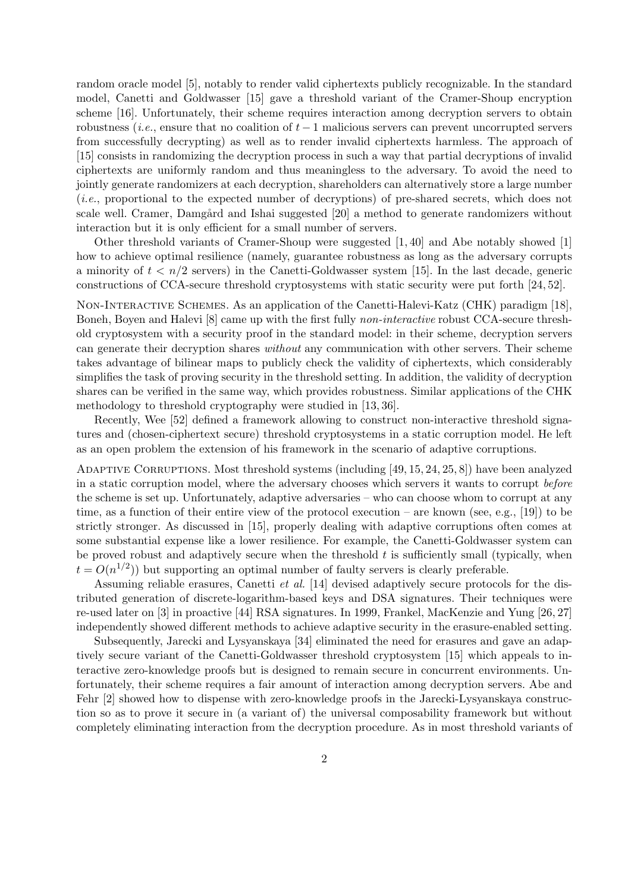random oracle model [5], notably to render valid ciphertexts publicly recognizable. In the standard model, Canetti and Goldwasser [15] gave a threshold variant of the Cramer-Shoup encryption scheme [16]. Unfortunately, their scheme requires interaction among decryption servers to obtain robustness (*i.e.*, ensure that no coalition of  $t-1$  malicious servers can prevent uncorrupted servers from successfully decrypting) as well as to render invalid ciphertexts harmless. The approach of [15] consists in randomizing the decryption process in such a way that partial decryptions of invalid ciphertexts are uniformly random and thus meaningless to the adversary. To avoid the need to jointly generate randomizers at each decryption, shareholders can alternatively store a large number (i.e., proportional to the expected number of decryptions) of pre-shared secrets, which does not scale well. Cramer, Damgård and Ishai suggested [20] a method to generate randomizers without interaction but it is only efficient for a small number of servers.

Other threshold variants of Cramer-Shoup were suggested [1, 40] and Abe notably showed [1] how to achieve optimal resilience (namely, guarantee robustness as long as the adversary corrupts a minority of  $t < n/2$  servers) in the Canetti-Goldwasser system [15]. In the last decade, generic constructions of CCA-secure threshold cryptosystems with static security were put forth [24, 52].

Non-Interactive Schemes. As an application of the Canetti-Halevi-Katz (CHK) paradigm [18], Boneh, Boyen and Halevi [8] came up with the first fully non-interactive robust CCA-secure threshold cryptosystem with a security proof in the standard model: in their scheme, decryption servers can generate their decryption shares without any communication with other servers. Their scheme takes advantage of bilinear maps to publicly check the validity of ciphertexts, which considerably simplifies the task of proving security in the threshold setting. In addition, the validity of decryption shares can be verified in the same way, which provides robustness. Similar applications of the CHK methodology to threshold cryptography were studied in [13, 36].

Recently, Wee [52] defined a framework allowing to construct non-interactive threshold signatures and (chosen-ciphertext secure) threshold cryptosystems in a static corruption model. He left as an open problem the extension of his framework in the scenario of adaptive corruptions.

ADAPTIVE CORRUPTIONS. Most threshold systems (including [49, 15, 24, 25, 8]) have been analyzed in a static corruption model, where the adversary chooses which servers it wants to corrupt before the scheme is set up. Unfortunately, adaptive adversaries – who can choose whom to corrupt at any time, as a function of their entire view of the protocol execution – are known (see, e.g., [19]) to be strictly stronger. As discussed in [15], properly dealing with adaptive corruptions often comes at some substantial expense like a lower resilience. For example, the Canetti-Goldwasser system can be proved robust and adaptively secure when the threshold  $t$  is sufficiently small (typically, when  $t = O(n^{1/2})$  but supporting an optimal number of faulty servers is clearly preferable.

Assuming reliable erasures, Canetti et al. [14] devised adaptively secure protocols for the distributed generation of discrete-logarithm-based keys and DSA signatures. Their techniques were re-used later on [3] in proactive [44] RSA signatures. In 1999, Frankel, MacKenzie and Yung [26, 27] independently showed different methods to achieve adaptive security in the erasure-enabled setting.

Subsequently, Jarecki and Lysyanskaya [34] eliminated the need for erasures and gave an adaptively secure variant of the Canetti-Goldwasser threshold cryptosystem [15] which appeals to interactive zero-knowledge proofs but is designed to remain secure in concurrent environments. Unfortunately, their scheme requires a fair amount of interaction among decryption servers. Abe and Fehr [2] showed how to dispense with zero-knowledge proofs in the Jarecki-Lysyanskaya construction so as to prove it secure in (a variant of) the universal composability framework but without completely eliminating interaction from the decryption procedure. As in most threshold variants of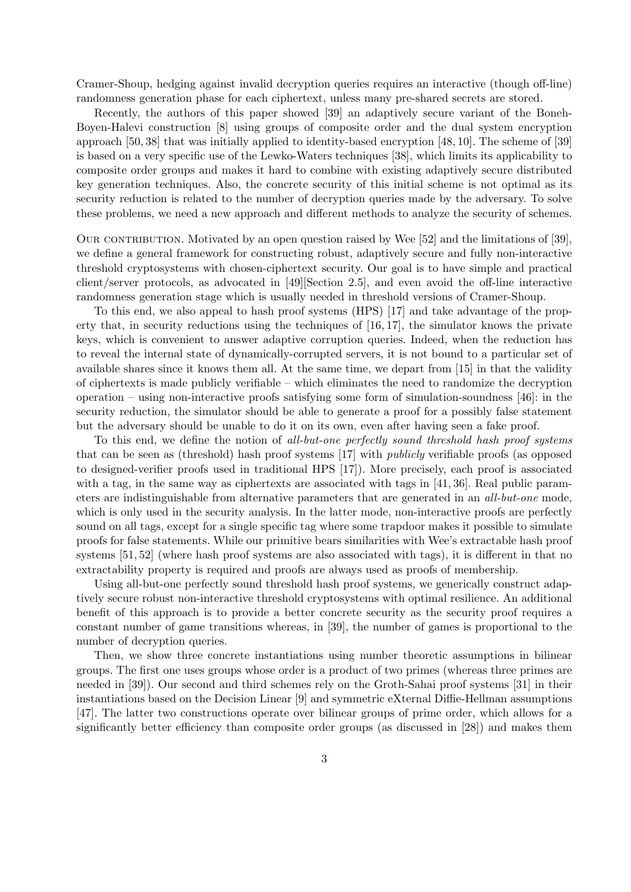Cramer-Shoup, hedging against invalid decryption queries requires an interactive (though off-line) randomness generation phase for each ciphertext, unless many pre-shared secrets are stored.

Recently, the authors of this paper showed [39] an adaptively secure variant of the Boneh-Boyen-Halevi construction [8] using groups of composite order and the dual system encryption approach [50, 38] that was initially applied to identity-based encryption [48, 10]. The scheme of [39] is based on a very specific use of the Lewko-Waters techniques [38], which limits its applicability to composite order groups and makes it hard to combine with existing adaptively secure distributed key generation techniques. Also, the concrete security of this initial scheme is not optimal as its security reduction is related to the number of decryption queries made by the adversary. To solve these problems, we need a new approach and different methods to analyze the security of schemes.

OUR CONTRIBUTION. Motivated by an open question raised by Wee [52] and the limitations of [39], we define a general framework for constructing robust, adaptively secure and fully non-interactive threshold cryptosystems with chosen-ciphertext security. Our goal is to have simple and practical client/server protocols, as advocated in [49][Section 2.5], and even avoid the off-line interactive randomness generation stage which is usually needed in threshold versions of Cramer-Shoup.

To this end, we also appeal to hash proof systems (HPS) [17] and take advantage of the property that, in security reductions using the techniques of [16, 17], the simulator knows the private keys, which is convenient to answer adaptive corruption queries. Indeed, when the reduction has to reveal the internal state of dynamically-corrupted servers, it is not bound to a particular set of available shares since it knows them all. At the same time, we depart from [15] in that the validity of ciphertexts is made publicly verifiable – which eliminates the need to randomize the decryption operation – using non-interactive proofs satisfying some form of simulation-soundness [46]: in the security reduction, the simulator should be able to generate a proof for a possibly false statement but the adversary should be unable to do it on its own, even after having seen a fake proof.

To this end, we define the notion of all-but-one perfectly sound threshold hash proof systems that can be seen as (threshold) hash proof systems [17] with publicly verifiable proofs (as opposed to designed-verifier proofs used in traditional HPS [17]). More precisely, each proof is associated with a tag, in the same way as ciphertexts are associated with tags in [41, 36]. Real public parameters are indistinguishable from alternative parameters that are generated in an all-but-one mode, which is only used in the security analysis. In the latter mode, non-interactive proofs are perfectly sound on all tags, except for a single specific tag where some trapdoor makes it possible to simulate proofs for false statements. While our primitive bears similarities with Wee's extractable hash proof systems [51, 52] (where hash proof systems are also associated with tags), it is different in that no extractability property is required and proofs are always used as proofs of membership.

Using all-but-one perfectly sound threshold hash proof systems, we generically construct adaptively secure robust non-interactive threshold cryptosystems with optimal resilience. An additional benefit of this approach is to provide a better concrete security as the security proof requires a constant number of game transitions whereas, in [39], the number of games is proportional to the number of decryption queries.

Then, we show three concrete instantiations using number theoretic assumptions in bilinear groups. The first one uses groups whose order is a product of two primes (whereas three primes are needed in [39]). Our second and third schemes rely on the Groth-Sahai proof systems [31] in their instantiations based on the Decision Linear [9] and symmetric eXternal Diffie-Hellman assumptions [47]. The latter two constructions operate over bilinear groups of prime order, which allows for a significantly better efficiency than composite order groups (as discussed in [28]) and makes them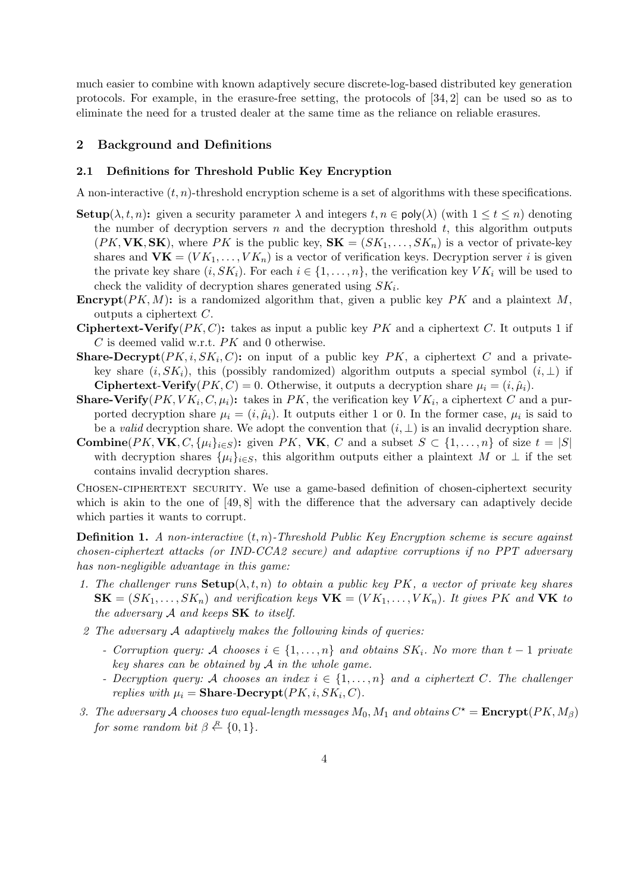much easier to combine with known adaptively secure discrete-log-based distributed key generation protocols. For example, in the erasure-free setting, the protocols of [34, 2] can be used so as to eliminate the need for a trusted dealer at the same time as the reliance on reliable erasures.

# 2 Background and Definitions

#### 2.1 Definitions for Threshold Public Key Encryption

A non-interactive  $(t, n)$ -threshold encryption scheme is a set of algorithms with these specifications.

- **Setup**( $\lambda, t, n$ ): given a security parameter  $\lambda$  and integers  $t, n \in \text{poly}(\lambda)$  (with  $1 \leq t \leq n$ ) denoting the number of decryption servers n and the decryption threshold  $t$ , this algorithm outputs  $(PK, \mathbf{VK}, \mathbf{SK})$ , where PK is the public key,  $\mathbf{SK} = (SK_1, \ldots, SK_n)$  is a vector of private-key shares and  $\mathbf{V}\mathbf{K} = (VK_1, \ldots, VK_n)$  is a vector of verification keys. Decryption server i is given the private key share  $(i, SK_i)$ . For each  $i \in \{1, \ldots, n\}$ , the verification key  $VK_i$  will be used to check the validity of decryption shares generated using  $SK_i$ .
- **Encrypt** $(PK, M)$ : is a randomized algorithm that, given a public key PK and a plaintext M, outputs a ciphertext C.
- **Ciphertext-Verify** $(PK, C)$ : takes as input a public key PK and a ciphertext C. It outputs 1 if  $C$  is deemed valid w.r.t.  $PK$  and 0 otherwise.
- **Share-Decrypt** $(PK, i, SK_i, C)$ : on input of a public key PK, a ciphertext C and a privatekey share  $(i, SK_i)$ , this (possibly randomized) algorithm outputs a special symbol  $(i, \perp)$  if **Ciphertext-Verify**( $PK, C$ ) = 0. Otherwise, it outputs a decryption share  $\mu_i = (i, \hat{\mu}_i)$ .
- **Share-Verify**( $PK, VK_i, C, \mu_i$ ): takes in PK, the verification key  $VK_i$ , a ciphertext C and a purported decryption share  $\mu_i = (i, \hat{\mu}_i)$ . It outputs either 1 or 0. In the former case,  $\mu_i$  is said to be a valid decryption share. We adopt the convention that  $(i, \perp)$  is an invalid decryption share.
- **Combine**(*PK*, **VK**, *C*, { $\mu_i$ }<sub>*i*∈*S*</sub>): given *PK*, **VK**, *C* and a subset  $S \subset \{1, ..., n\}$  of size  $t = |S|$ with decryption shares  $\{\mu_i\}_{i\in\mathcal{S}}$ , this algorithm outputs either a plaintext M or  $\perp$  if the set contains invalid decryption shares.

Chosen-ciphertext security. We use a game-based definition of chosen-ciphertext security which is akin to the one of [49,8] with the difference that the adversary can adaptively decide which parties it wants to corrupt.

**Definition 1.** A non-interactive  $(t, n)$ -Threshold Public Key Encryption scheme is secure against chosen-ciphertext attacks (or IND-CCA2 secure) and adaptive corruptions if no PPT adversary has non-negligible advantage in this game:

- 1. The challenger runs  $\mathbf{Setup}(\lambda, t, n)$  to obtain a public key PK, a vector of private key shares  $\mathbf{SK} = (SK_1, \ldots, SK_n)$  and verification keys  $\mathbf{VK} = (VK_1, \ldots, VK_n)$ . It gives PK and  $\mathbf{VK}$  to the adversary  $A$  and keeps  $SK$  to itself.
- 2 The adversary A adaptively makes the following kinds of queries:
	- Corruption query: A chooses  $i \in \{1, \ldots, n\}$  and obtains  $SK_i$ . No more than  $t-1$  private key shares can be obtained by  $A$  in the whole game.
	- Decryption query: A chooses an index  $i \in \{1, \ldots, n\}$  and a ciphertext C. The challenger replies with  $\mu_i = \textbf{Share-Decrypt}(PK, i, SK_i, C)$ .
- 3. The adversary A chooses two equal-length messages  $M_0, M_1$  and obtains  $C^* =$ **Encrypt** $(PK, M_\beta)$ for some random bit  $\beta \stackrel{R}{\leftarrow} \{0,1\}.$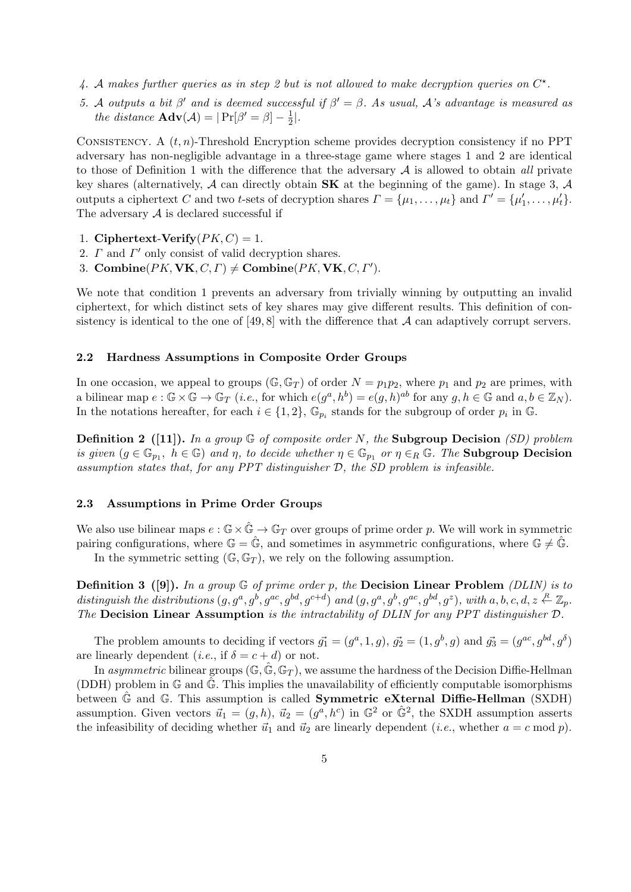- 4. A makes further queries as in step 2 but is not allowed to make decryption queries on  $C^*$ .
- 5. A outputs a bit  $\beta'$  and is deemed successful if  $\beta' = \beta$ . As usual, A's advantage is measured as the distance  $\mathbf{Adv}(\mathcal{A}) = |\Pr[\beta' = \beta] - \frac{1}{2}$  $\frac{1}{2}$ .

CONSISTENCY. A  $(t, n)$ -Threshold Encryption scheme provides decryption consistency if no PPT adversary has non-negligible advantage in a three-stage game where stages 1 and 2 are identical to those of Definition 1 with the difference that the adversary  $A$  is allowed to obtain all private key shares (alternatively,  $A$  can directly obtain  $SK$  at the beginning of the game). In stage 3,  $A$ outputs a ciphertext C and two t-sets of decryption shares  $\Gamma = {\mu_1, ..., \mu_t}$  and  $\Gamma' = {\mu'_1, ..., \mu'_t}$ . The adversary  $A$  is declared successful if

- 1. Ciphertext-Verify $(PK, C) = 1$ .
- 2.  $\Gamma$  and  $\Gamma'$  only consist of valid decryption shares.
- 3. Combine( $PK$ , VK,  $C, \Gamma$ )  $\neq$  Combine( $PK$ , VK,  $C, \Gamma'$ ).

We note that condition 1 prevents an adversary from trivially winning by outputting an invalid ciphertext, for which distinct sets of key shares may give different results. This definition of consistency is identical to the one of  $[49, 8]$  with the difference that A can adaptively corrupt servers.

#### 2.2 Hardness Assumptions in Composite Order Groups

In one occasion, we appeal to groups  $(\mathbb{G}, \mathbb{G}_T)$  of order  $N = p_1p_2$ , where  $p_1$  and  $p_2$  are primes, with a bilinear map  $e : \mathbb{G} \times \mathbb{G} \to \mathbb{G}_T$  (*i.e.*, for which  $e(g^a, h^b) = e(g, h)^{ab}$  for any  $g, h \in \mathbb{G}$  and  $a, b \in \mathbb{Z}_N$ ). In the notations hereafter, for each  $i \in \{1, 2\}$ ,  $\mathbb{G}_{p_i}$  stands for the subgroup of order  $p_i$  in  $\mathbb{G}$ .

**Definition 2** ([11]). In a group  $\mathbb{G}$  of composite order N, the **Subgroup Decision** (SD) problem is given  $(g \in \mathbb{G}_{p_1}, h \in \mathbb{G})$  and  $\eta$ , to decide whether  $\eta \in \mathbb{G}_{p_1}$  or  $\eta \in_R \mathbb{G}$ . The **Subgroup Decision** assumption states that, for any PPT distinguisher D, the SD problem is infeasible.

# 2.3 Assumptions in Prime Order Groups

We also use bilinear maps  $e : \mathbb{G} \times \hat{\mathbb{G}} \to \mathbb{G}_T$  over groups of prime order p. We will work in symmetric pairing configurations, where  $\mathbb{G} = \hat{\mathbb{G}}$ , and sometimes in asymmetric configurations, where  $\mathbb{G} \neq \hat{\mathbb{G}}$ . In the symmetric setting  $(\mathbb{G}, \mathbb{G}_T)$ , we rely on the following assumption.

**Definition 3** ([9]). In a group  $\mathbb{G}$  of prime order p, the **Decision Linear Problem** (DLIN) is to distinguish the distributions  $(g, g^a, g^b, g^{ac}, g^{bd}, g^{c+d})$  and  $(g, g^a, g^b, g^{ac}, g^{bd}, g^z)$ , with  $a, b, c, d, z \stackrel{R}{\leftarrow} \mathbb{Z}_p$ . The Decision Linear Assumption is the intractability of DLIN for any PPT distinguisher  $\mathcal{D}$ .

The problem amounts to deciding if vectors  $\vec{g}_1 = (g^a, 1, g), \, \vec{g}_2 = (1, g^b, g)$  and  $\vec{g}_3 = (g^{ac}, g^{bd}, g^{\delta})$ are linearly dependent (*i.e.*, if  $\delta = c + d$ ) or not.

In asymmetric bilinear groups  $(\mathbb{G}, \mathbb{G}, \mathbb{G}_T)$ , we assume the hardness of the Decision Diffie-Hellman (DDH) problem in  $\mathbb{G}$  and  $\hat{\mathbb{G}}$ . This implies the unavailability of efficiently computable isomorphisms between G and G. This assumption is called **Symmetric eXternal Diffie-Hellman** (SXDH) assumption. Given vectors  $\vec{u}_1 = (g, h), \vec{u}_2 = (g^a, h^c)$  in  $\mathbb{G}^2$  or  $\hat{\mathbb{G}}^2$ , the SXDH assumption asserts the infeasibility of deciding whether  $\vec{u}_1$  and  $\vec{u}_2$  are linearly dependent (*i.e.*, whether  $a = c \mod p$ ).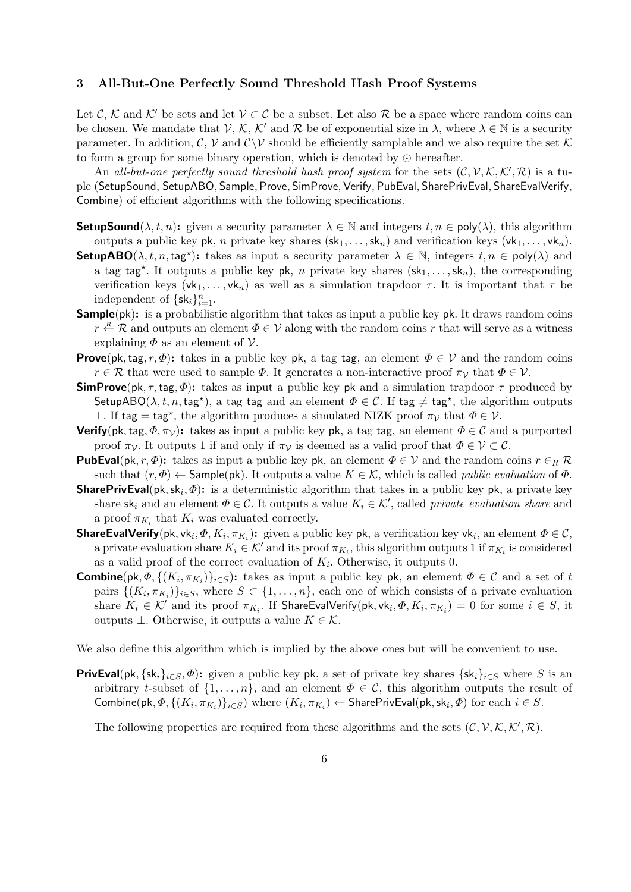#### 3 All-But-One Perfectly Sound Threshold Hash Proof Systems

Let C, K and K' be sets and let  $V \subset C$  be a subset. Let also R be a space where random coins can be chosen. We mandate that  $\mathcal{V}, \mathcal{K}, \mathcal{K}'$  and R be of exponential size in  $\lambda$ , where  $\lambda \in \mathbb{N}$  is a security parameter. In addition,  $\mathcal{C}, \mathcal{V}$  and  $\mathcal{C}\setminus\mathcal{V}$  should be efficiently samplable and we also require the set K to form a group for some binary operation, which is denoted by  $\odot$  hereafter.

An all-but-one perfectly sound threshold hash proof system for the sets  $(C, V, K, K', \mathcal{R})$  is a tuple (SetupSound, SetupABO, Sample, Prove, SimProve, Verify, PubEval, SharePrivEval, ShareEvalVerify, Combine) of efficient algorithms with the following specifications.

- **SetupSound**( $\lambda, t, n$ ): given a security parameter  $\lambda \in \mathbb{N}$  and integers  $t, n \in \text{poly}(\lambda)$ , this algorithm outputs a public key pk, n private key shares  $(\mathsf{sk}_1, \ldots, \mathsf{sk}_n)$  and verification keys  $(\mathsf{vk}_1, \ldots, \mathsf{vk}_n)$ .
- **SetupABO**( $\lambda, t, n$ , tag<sup>\*</sup>): takes as input a security parameter  $\lambda \in \mathbb{N}$ , integers  $t, n \in \text{poly}(\lambda)$  and a tag tag<sup>\*</sup>. It outputs a public key pk, n private key shares  $(\mathsf{sk}_1, \ldots, \mathsf{sk}_n)$ , the corresponding verification keys ( $vk_1, \ldots, vk_n$ ) as well as a simulation trapdoor  $\tau$ . It is important that  $\tau$  be independent of  $\{\mathsf{sk}_i\}_{i=1}^n$ .
- **Sample**(pk): is a probabilistic algorithm that takes as input a public key pk. It draws random coins  $r \stackrel{R}{\leftarrow} \mathcal{R}$  and outputs an element  $\Phi \in \mathcal{V}$  along with the random coins r that will serve as a witness explaining  $\Phi$  as an element of  $\mathcal V$ .
- **Prove**(pk, tag, r,  $\Phi$ ): takes in a public key pk, a tag tag, an element  $\Phi \in \mathcal{V}$  and the random coins  $r \in \mathcal{R}$  that were used to sample  $\Phi$ . It generates a non-interactive proof  $\pi_{\mathcal{V}}$  that  $\Phi \in \mathcal{V}$ .
- **SimProve**(pk,  $\tau$ , tag,  $\Phi$ ): takes as input a public key pk and a simulation trapdoor  $\tau$  produced by SetupABO( $\lambda, t, n$ , tag<sup>\*</sup>), a tag tag and an element  $\Phi \in \mathcal{C}$ . If tag  $\neq$  tag<sup>\*</sup>, the algorithm outputs  $⊥$ . If tag = tag<sup>\*</sup>, the algorithm produces a simulated NIZK proof  $\pi$ <sub>V</sub> that  $Φ ∈ V$ .
- **Verify**(pk, tag,  $\Phi$ ,  $\pi$ <sub>V</sub>): takes as input a public key pk, a tag tag, an element  $\Phi \in \mathcal{C}$  and a purported proof  $\pi_{\mathcal{V}}$ . It outputs 1 if and only if  $\pi_{\mathcal{V}}$  is deemed as a valid proof that  $\Phi \in \mathcal{V} \subset \mathcal{C}$ .
- **PubEval**(pk, r,  $\Phi$ ): takes as input a public key pk, an element  $\Phi \in \mathcal{V}$  and the random coins  $r \in_R \mathcal{R}$ such that  $(r, \Phi) \leftarrow$  Sample(pk). It outputs a value  $K \in \mathcal{K}$ , which is called *public evaluation* of  $\Phi$ .
- **SharePrivEval**( $pk, sk_i, \Phi$ ): is a deterministic algorithm that takes in a public key  $pk$ , a private key share  $sk_i$  and an element  $\Phi \in \mathcal{C}$ . It outputs a value  $K_i \in \mathcal{K}'$ , called *private evaluation share* and a proof  $\pi_{K_i}$  that  $K_i$  was evaluated correctly.
- **ShareEvalVerify**(pk, vk<sub>i</sub>,  $\Phi$ ,  $K_i$ ,  $\pi_{K_i}$ ): given a public key pk, a verification key vk<sub>i</sub>, an element  $\Phi \in \mathcal{C}$ , a private evaluation share  $K_i \in \mathcal{K}'$  and its proof  $\pi_{K_i}$ , this algorithm outputs 1 if  $\pi_{K_i}$  is considered as a valid proof of the correct evaluation of  $K_i$ . Otherwise, it outputs 0.
- **Combine**( $pk, \Phi, \{(K_i, \pi_{K_i})\}_{i \in S}$ ): takes as input a public key  $pk$ , an element  $\Phi \in C$  and a set of t pairs  $\{(K_i, \pi_{K_i})\}_{i \in S}$ , where  $S \subset \{1, \ldots, n\}$ , each one of which consists of a private evaluation share  $K_i \in \mathcal{K}'$  and its proof  $\pi_{K_i}$ . If ShareEvalVerify(pk, vk $_i, \Phi, K_i, \pi_{K_i}$ ) = 0 for some  $i \in S$ , it outputs ⊥. Otherwise, it outputs a value  $K \in \mathcal{K}$ .

We also define this algorithm which is implied by the above ones but will be convenient to use.

**PrivEval**(pk, {sk<sub>i</sub>}<sub>i∈S</sub>,  $\Phi$ ): given a public key pk, a set of private key shares {sk<sub>i</sub>}<sub>i∈S</sub> where S is an arbitrary t-subset of  $\{1,\ldots,n\}$ , and an element  $\Phi \in \mathcal{C}$ , this algorithm outputs the result of Combine(pk,  $\Phi$ ,  $\{(K_i, \pi_{K_i})\}_{i \in S}$ ) where  $(K_i, \pi_{K_i}) \leftarrow$  SharePrivEval(pk, sk<sub>i</sub>,  $\Phi$ ) for each  $i \in S$ .

The following properties are required from these algorithms and the sets  $(C, V, K, K', \mathcal{R})$ .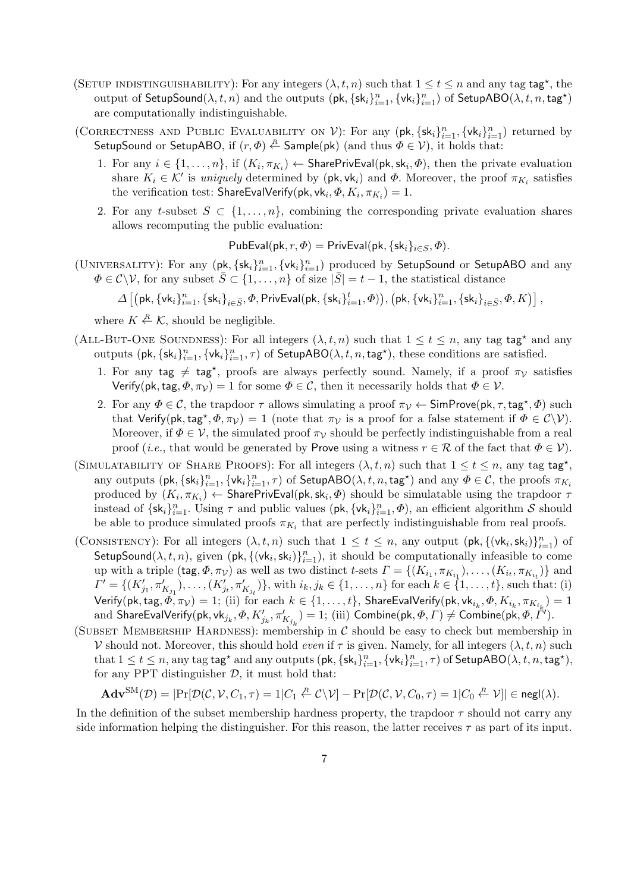- (SETUP INDISTINGUISHABILITY): For any integers  $(\lambda, t, n)$  such that  $1 \le t \le n$  and any tag tag<sup>\*</sup>, the output of  ${\sf SetupSound}(\lambda,t,n)$  and the outputs  $({\sf pk},\{{\sf sk}_i\}_{i=1}^n,\{{\sf vk}_i\}_{i=1}^n)$  of  ${\sf SetupABO}(\lambda,t,n,{\sf tag}^\star)$ are computationally indistinguishable.
- (CORRECTNESS AND PUBLIC EVALUABILITY ON V): For any  $(\mathsf{pk}, \{\mathsf{sk}_i\}_{i=1}^n, \{\mathsf{vk}_i\}_{i=1}^n)$  returned by SetupSound or SetupABO, if  $(r, \Phi) \stackrel{R}{\leftarrow}$  Sample(pk) (and thus  $\Phi \in \mathcal{V}$ ), it holds that:
	- 1. For any  $i \in \{1, \ldots, n\}$ , if  $(K_i, \pi_{K_i}) \leftarrow$  SharePrivEval(pk, sk<sub>i</sub>,  $\Phi$ ), then the private evaluation share  $K_i \in \mathcal{K}'$  is uniquely determined by  $(\mathsf{pk}, \mathsf{vk}_i)$  and  $\Phi$ . Moreover, the proof  $\pi_{K_i}$  satisfies the verification test:  $\textsf{ShareEvalVerify}(\textsf{pk},\textsf{vk}_i,\varPhi,K_i,\pi_{K_i})=1.$
	- 2. For any t-subset  $S \subset \{1, \ldots, n\}$ , combining the corresponding private evaluation shares allows recomputing the public evaluation:

PubEval(pk,  $r, \Phi$ ) = PrivEval(pk, {sk<sub>i</sub>}<sub>i∈S</sub>,  $\Phi$ ).

(UNIVERSALITY): For any  $(\mathsf{pk}, \{\mathsf{sk}_i\}_{i=1}^n, \{\mathsf{vk}_i\}_{i=1}^n)$  produced by SetupSound or SetupABO and any  $\Phi \in \mathcal{C} \setminus \mathcal{V}$ , for any subset  $\overline{S} \subset \{1, \ldots, n\}$  of size  $|\overline{S}| = t - 1$ , the statistical distance

 $\Delta\left[\left(\mathsf{pk}, \{\mathsf{vk}_i\}_{i=1}^n, \{\mathsf{sk}_i\}_{i\in{\bar{S}}},\varPhi,\mathsf{PrivEval}(\mathsf{pk},\{\mathsf{sk}_i\}_{i=1}^t,\varPhi)\right), \left(\mathsf{pk},\{\mathsf{vk}_i\}_{i=1}^n, \{\mathsf{sk}_i\}_{i\in{\bar{S}}},\varPhi,K\right)\right],$ 

where  $K \stackrel{R}{\leftarrow} \mathcal{K}$ , should be negligible.

- (ALL-BUT-ONE SOUNDNESS): For all integers  $(\lambda, t, n)$  such that  $1 \le t \le n$ , any tag tag<sup>\*</sup> and any outputs  $(\mathsf{pk}, \{\mathsf{sk}_i\}_{i=1}^n, \{\mathsf{vk}_i\}_{i=1}^n, \tau)$  of  $\mathsf{SetupABO}(\lambda, t, n, \mathsf{tag}^{\star})$ , these conditions are satisfied.
	- 1. For any tag  $\neq$  tag<sup>\*</sup>, proofs are always perfectly sound. Namely, if a proof  $\pi$ <sub>V</sub> satisfies Verify(pk, tag,  $\Phi$ ,  $\pi$ <sub>V</sub>) = 1 for some  $\Phi \in \mathcal{C}$ , then it necessarily holds that  $\Phi \in \mathcal{V}$ .
	- 2. For any  $\Phi \in \mathcal{C}$ , the trapdoor  $\tau$  allows simulating a proof  $\pi_{\mathcal{V}} \leftarrow$  SimProve(pk,  $\tau$ , tag\*,  $\Phi$ ) such that Verify(pk, tag<sup>\*</sup>,  $\Phi$ ,  $\pi$ <sub>V</sub>) = 1 (note that  $\pi$ <sub>V</sub> is a proof for a false statement if  $\Phi \in \mathcal{C} \setminus \mathcal{V}$ ). Moreover, if  $\Phi \in \mathcal{V}$ , the simulated proof  $\pi_{\mathcal{V}}$  should be perfectly indistinguishable from a real proof (*i.e.*, that would be generated by Prove using a witness  $r \in \mathcal{R}$  of the fact that  $\Phi \in \mathcal{V}$ ).
- (SIMULATABILITY OF SHARE PROOFS): For all integers  $(\lambda, t, n)$  such that  $1 \le t \le n$ , any tag tag<sup>\*</sup>, any outputs  $(\mathsf{pk}, \{\mathsf{sk}_i\}_{i=1}^n, \{\mathsf{vk}_i\}_{i=1}^n, \tau)$  of  $\mathsf{SetupABO}(\lambda, t, n, \mathsf{tag}^{\star})$  and any  $\Phi \in \mathcal{C}$ , the proofs  $\pi_{K_i}$ produced by  $(K_i, \pi_{K_i}) \leftarrow$  SharePrivEval(pk, sk<sub>i</sub>,  $\Phi$ ) should be simulatable using the trapdoor  $\tau$ instead of  $\{sk_i\}_{i=1}^n$ . Using  $\tau$  and public values  $(\mathsf{pk}, \{\mathsf{vk}_i\}_{i=1}^n, \Phi)$ , an efficient algorithm  $\mathcal S$  should be able to produce simulated proofs  $\pi_{K_i}$  that are perfectly indistinguishable from real proofs.
- (CONSISTENCY): For all integers  $(\lambda, t, n)$  such that  $1 \le t \le n$ , any output  $(\mathsf{pk}, \{(\mathsf{vk}_i, \mathsf{sk}_i)\}_{i=1}^n)$  of SetupSound( $\lambda, t, n$ ), given (pk, {(vk<sub>i</sub>, sk<sub>i</sub>)}<sup>n</sup><sub>i=1</sub>), it should be computationally infeasible to come up with a triple  $(\text{tag}, \Phi, \pi_V)$  as well as two distinct t-sets  $\Gamma = \{(K_{i_1}, \pi_{K_{i_1}}), \dots, (K_{i_t}, \pi_{K_{i_t}})\}\$  and  $\Gamma' = \{(K'_{j_1}, \pi'_{K_{j_1}}), \ldots, (K'_{j_t}, \pi'_{K_{j_t}})\}\$ , with  $i_k, j_k \in \{1, \ldots, n\}$  for each  $k \in \{1, \ldots, t\}$ , such that: (i)  $\mathsf{Verify}(\mathsf{pk},\mathsf{tag},\varPhi,\pi_\mathcal{V})=1;$   $(\mathrm{ii})$  for each  $k\in\{1,\ldots,t\},$   $\mathsf{ShareEvalVerify}(\mathsf{pk},\mathsf{vk}_{i_k},\varPhi,K_{i_k},\pi_{K_{i_k}})=1$ and ShareEvalVerify $(\mathsf{pk}, \mathsf{vk}_{j_k}, \Phi, K'_{j_k}, \pi'_{K_{j_k}}) = 1$ ; (iii) Combine $(\mathsf{pk}, \Phi, \Gamma) \neq \mathsf{Combine}(\mathsf{pk}, \Phi, \tilde{\Gamma}')$ .
- (SUBSET MEMBERSHIP HARDNESS): membership in  $\mathcal C$  should be easy to check but membership in V should not. Moreover, this should hold even if  $\tau$  is given. Namely, for all integers  $(\lambda, t, n)$  such that  $1 \le t \le n$ , any tag tag\* and any outputs  $(\mathsf{pk}, \{\mathsf{sk}_i\}_{i=1}^n, \{\mathsf{vk}_i\}_{i=1}^n, \tau)$  of  $\mathsf{SetupABO}(\lambda, t, n, \mathsf{tag}^{\star}),$ for any PPT distinguisher  $D$ , it must hold that:

 $\mathbf{Adv}^{\mathrm{SM}}(\mathcal{D}) = \left|\Pr[\mathcal{D}(\mathcal{C}, \mathcal{V}, C_1, \tau) = 1 | C_1 \xleftarrow{R} \mathcal{C} \backslash \mathcal{V}] - \Pr[\mathcal{D}(\mathcal{C}, \mathcal{V}, C_0, \tau) = 1 | C_0 \xleftarrow{R} \mathcal{V}]| \in \mathsf{negl}(\lambda).$ 

In the definition of the subset membership hardness property, the trapdoor  $\tau$  should not carry any side information helping the distinguisher. For this reason, the latter receives  $\tau$  as part of its input.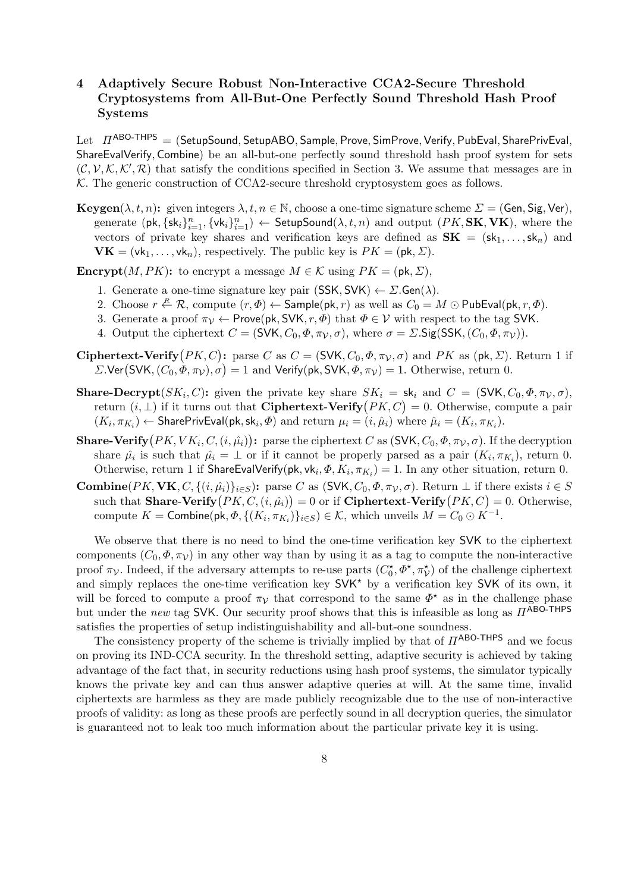# 4 Adaptively Secure Robust Non-Interactive CCA2-Secure Threshold Cryptosystems from All-But-One Perfectly Sound Threshold Hash Proof Systems

Let  $\Pi^{ABO-THPS} =$  (SetupSound, SetupABO, Sample, Prove, SimProve, Verify, PubEval, SharePrivEval, ShareEvalVerify, Combine) be an all-but-one perfectly sound threshold hash proof system for sets  $(C, V, K, K', \mathcal{R})$  that satisfy the conditions specified in Section 3. We assume that messages are in  $K$ . The generic construction of CCA2-secure threshold cryptosystem goes as follows.

**Keygen**( $\lambda, t, n$ ): given integers  $\lambda, t, n \in \mathbb{N}$ , choose a one-time signature scheme  $\Sigma = (Gen, Sig, Ver),$ generate  $(\mathsf{pk}, \{\mathsf{sk}_i\}_{i=1}^n, \{\mathsf{vk}_i\}_{i=1}^n) \leftarrow \mathsf{SetupSound}(\lambda, t, n)$  and output  $(PK, \mathbf{SK}, \mathbf{VK}),$  where the vectors of private key shares and verification keys are defined as  $SK = (sk_1, \ldots, sk_n)$  and  $\mathbf{V}\mathbf{K} = (\mathsf{vk}_1, \dots, \mathsf{vk}_n)$ , respectively. The public key is  $PK = (\mathsf{pk}, \Sigma)$ .

**Encrypt** $(M, PK)$ : to encrypt a message  $M \in \mathcal{K}$  using  $PK = (pk, \Sigma)$ ,

- 1. Generate a one-time signature key pair  $(SSK, SVK) \leftarrow \Sigma$ . Gen $(\lambda)$ .
- 2. Choose  $r \stackrel{R}{\leftarrow} \mathcal{R}$ , compute  $(r, \Phi) \leftarrow$  Sample(pk, r) as well as  $C_0 = M \odot$  PubEval(pk, r,  $\Phi$ ).
- 3. Generate a proof  $\pi_{\mathcal{V}} \leftarrow$  Prove(pk, SVK, r,  $\Phi$ ) that  $\Phi \in \mathcal{V}$  with respect to the tag SVK.
- 4. Output the ciphertext  $C = (SVK, C_0, \Phi, \pi_V, \sigma)$ , where  $\sigma = \Sigma \text{.Sig}(\text{SSK}, (C_0, \Phi, \pi_V))$ .
- **Ciphertext-Verify**  $(PK, C)$ : parse C as  $C = (SVK, C_0, \Phi, \pi_V, \sigma)$  and PK as  $(\mathsf{pk}, \Sigma)$ . Return 1 if  $\Sigma$ .Ver(SVK,  $(C_0, \Phi, \pi_V)$ ,  $\sigma$ ) = 1 and Verify(pk, SVK,  $\Phi, \pi_V$ ) = 1. Otherwise, return 0.
- **Share-Decrypt**( $SK_i, C$ ): given the private key share  $SK_i = sk_i$  and  $C = (SVK, C_0, \Phi, \pi_V, \sigma)$ , return  $(i, \perp)$  if it turns out that **Ciphertext-Verify**  $(PK, C) = 0$ . Otherwise, compute a pair  $(K_i, \pi_{K_i}) \leftarrow$  SharePrivEval(pk, sk<sub>i</sub>,  $\Phi$ ) and return  $\mu_i = (i, \hat{\mu}_i)$  where  $\hat{\mu}_i = (K_i, \pi_{K_i})$ .
- **Share-Verify**  $(PK, VK_i, C, (i, \hat{\mu}_i))$ : parse the ciphertext C as  $(SVK, C_0, \Phi, \pi_V, \sigma)$ . If the decryption share  $\hat{\mu}_i$  is such that  $\hat{\mu}_i = \perp$  or if it cannot be properly parsed as a pair  $(K_i, \pi_{K_i})$ , return 0. Otherwise, return 1 if ShareEvalVerify(pk, vk<sub>i</sub>,  $\Phi$ ,  $K_i$ ,  $\pi_{K_i}$ ) = 1. In any other situation, return 0.
- **Combine**( $PK$ ,  $VK$ ,  $C$ ,  $\{(i, \hat{\mu}_i)\}_{i \in S}$ ): parse C as (SVK,  $C_0$ ,  $\Phi$ ,  $\pi_V$ ,  $\sigma$ ). Return  $\bot$  if there exists  $i \in S$ such that **Share-Verify**  $(PK, C, (i, \hat{\mu_i})) = 0$  or if **Ciphertext-Verify**  $(PK, C) = 0$ . Otherwise, compute  $K = \text{Combine}(\text{pk}, \Phi, \{(K_i, \pi_{K_i})\}_{i \in S}) \in \mathcal{K}$ , which unveils  $M = C_0 \odot K^{-1}$ .

We observe that there is no need to bind the one-time verification key SVK to the ciphertext components  $(C_0, \Phi, \pi_V)$  in any other way than by using it as a tag to compute the non-interactive proof  $\pi_{\mathcal{V}}$ . Indeed, if the adversary attempts to re-use parts  $(C_0^*, \Phi^*, \pi_{\mathcal{V}}^*)$  of the challenge ciphertext and simply replaces the one-time verification key  $SVK^*$  by a verification key SVK of its own, it will be forced to compute a proof  $\pi$  that correspond to the same  $\Phi^*$  as in the challenge phase but under the new tag SVK. Our security proof shows that this is infeasible as long as  $\Pi^{\mathsf{ABO}\text{-}\mathsf{THPS}}$ satisfies the properties of setup indistinguishability and all-but-one soundness.

The consistency property of the scheme is trivially implied by that of  $\Pi^{\mathsf{ABO-THPS}}$  and we focus on proving its IND-CCA security. In the threshold setting, adaptive security is achieved by taking advantage of the fact that, in security reductions using hash proof systems, the simulator typically knows the private key and can thus answer adaptive queries at will. At the same time, invalid ciphertexts are harmless as they are made publicly recognizable due to the use of non-interactive proofs of validity: as long as these proofs are perfectly sound in all decryption queries, the simulator is guaranteed not to leak too much information about the particular private key it is using.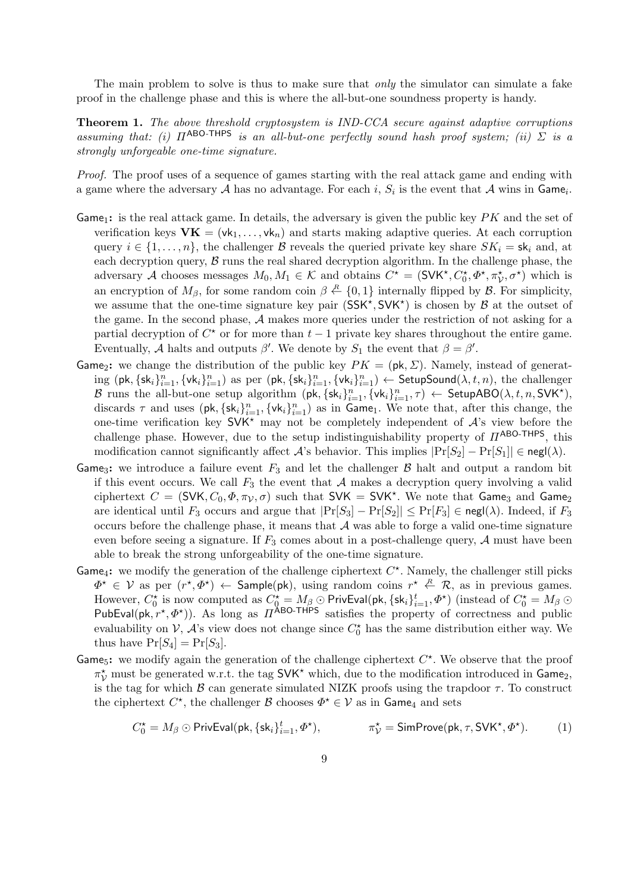The main problem to solve is thus to make sure that *only* the simulator can simulate a fake proof in the challenge phase and this is where the all-but-one soundness property is handy.

Theorem 1. The above threshold cryptosystem is IND-CCA secure against adaptive corruptions assuming that: (i)  $\Pi^{ABO-THPS}$  is an all-but-one perfectly sound hash proof system; (ii)  $\Sigma$  is a strongly unforgeable one-time signature.

Proof. The proof uses of a sequence of games starting with the real attack game and ending with a game where the adversary A has no advantage. For each i,  $S_i$  is the event that A wins in Game<sub>i</sub>.

- Game<sub>1</sub>: is the real attack game. In details, the adversary is given the public key  $PK$  and the set of verification keys  $\mathbf{V}\mathbf{K} = (\mathsf{vk}_1, \dots, \mathsf{vk}_n)$  and starts making adaptive queries. At each corruption query  $i \in \{1, \ldots, n\}$ , the challenger B reveals the queried private key share  $SK_i = sk_i$  and, at each decryption query,  $\beta$  runs the real shared decryption algorithm. In the challenge phase, the adversary A chooses messages  $M_0, M_1 \in \mathcal{K}$  and obtains  $C^* = (\text{SVK}^*, C_0^*, \Phi^*, \pi_{\mathcal{V}}^*, \sigma^*)$  which is an encryption of  $M_{\beta}$ , for some random coin  $\beta \stackrel{R}{\leftarrow} \{0,1\}$  internally flipped by  $\beta$ . For simplicity, we assume that the one-time signature key pair  $(SSK^*, SVK^*)$  is chosen by  $\beta$  at the outset of the game. In the second phase,  $A$  makes more queries under the restriction of not asking for a partial decryption of  $C^*$  or for more than  $t-1$  private key shares throughout the entire game. Eventually, A halts and outputs  $\beta'$ . We denote by  $S_1$  the event that  $\beta = \beta'$ .
- Game<sub>2</sub>: we change the distribution of the public key  $PK = (\mathsf{pk}, \Sigma)$ . Namely, instead of generat- $\text{log (pk, }\{ \mathsf{sk}_i \}_{i=1}^n, \{ \mathsf{vk}_i \}_{i=1}^n)$  as per  $(\mathsf{pk}, \{ \mathsf{sk}_i \}_{i=1}^n, \{ \mathsf{vk}_i \}_{i=1}^n) \leftarrow \mathsf{SetupSound}(\lambda, t, n),$  the challenger B runs the all-but-one setup algorithm  $(\mathsf{pk}, \{\mathsf{sk}_i\}_{i=1}^n, \{\mathsf{vk}_i\}_{i=1}^n, \tau) \leftarrow \mathsf{SetupABO}(\lambda, t, n, \mathsf{SVK}^{\star}),$ discards  $\tau$  and uses  $(\mathsf{pk}, \{\mathsf{sk}_i\}_{i=1}^n, \{\mathsf{vk}_i\}_{i=1}^n)$  as in  $\mathsf{Game}_1$ . We note that, after this change, the one-time verification key  $SVK^*$  may not be completely independent of  $A$ 's view before the challenge phase. However, due to the setup indistinguishability property of  $\Pi^{\mathsf{ABO-THPS}}$ , this modification cannot significantly affect A's behavior. This implies  $|Pr[S_2] - Pr[S_1]| \in neg(\lambda)$ .
- Game<sub>3</sub>: we introduce a failure event  $F_3$  and let the challenger  $\beta$  halt and output a random bit if this event occurs. We call  $F_3$  the event that A makes a decryption query involving a valid ciphertext  $C = (SVK, C_0, \Phi, \pi_V, \sigma)$  such that  $SVK = SVK^*$ . We note that Game<sub>3</sub> and Game<sub>2</sub> are identical until  $F_3$  occurs and argue that  $|\Pr[S_3] - \Pr[S_2]| \leq \Pr[F_3] \in \mathsf{negl}(\lambda)$ . Indeed, if  $F_3$ occurs before the challenge phase, it means that  $A$  was able to forge a valid one-time signature even before seeing a signature. If  $F_3$  comes about in a post-challenge query, A must have been able to break the strong unforgeability of the one-time signature.
- Game<sub>4</sub>: we modify the generation of the challenge ciphertext  $C^*$ . Namely, the challenger still picks  $\Phi^* \in \mathcal{V}$  as per  $(r^*, \Phi^*)$   $\leftarrow$  Sample(pk), using random coins  $r^* \stackrel{R}{\leftarrow} \mathcal{R}$ , as in previous games. However,  $C_0^*$  is now computed as  $C_0^* = M_\beta \odot$  PrivEval(pk, {sk<sub>i</sub>}<sup>t</sup><sub>i=1</sub>,  $\Phi^*$ ) (instead of  $C_0^* = M_\beta \odot$ PubEval(pk,  $r^*$ ,  $\Phi^*$ )). As long as  $\Pi^{ABO-THPS}$  satisfies the property of correctness and public evaluability on  $V$ ,  $\mathcal{A}$ 's view does not change since  $C_0^*$  has the same distribution either way. We thus have  $Pr[S_4] = Pr[S_3]$ .
- Game<sub>5</sub>: we modify again the generation of the challenge ciphertext  $C^*$ . We observe that the proof  $\pi_V^{\star}$  must be generated w.r.t. the tag SVK<sup>\*</sup> which, due to the modification introduced in Game<sub>2</sub>, is the tag for which  $\beta$  can generate simulated NIZK proofs using the trapdoor  $\tau$ . To construct the ciphertext  $C^*$ , the challenger  $\mathcal{B}$  chooses  $\Phi^* \in \mathcal{V}$  as in Game<sub>4</sub> and sets

$$
C_0^{\star} = M_{\beta} \odot \text{PrivEval}(\text{pk}, \{\text{sk}_i\}_{i=1}^t, \Phi^{\star}), \qquad \qquad \pi_{\mathcal{V}}^{\star} = \text{SimProve}(\text{pk}, \tau, \text{SVK}^{\star}, \Phi^{\star}). \tag{1}
$$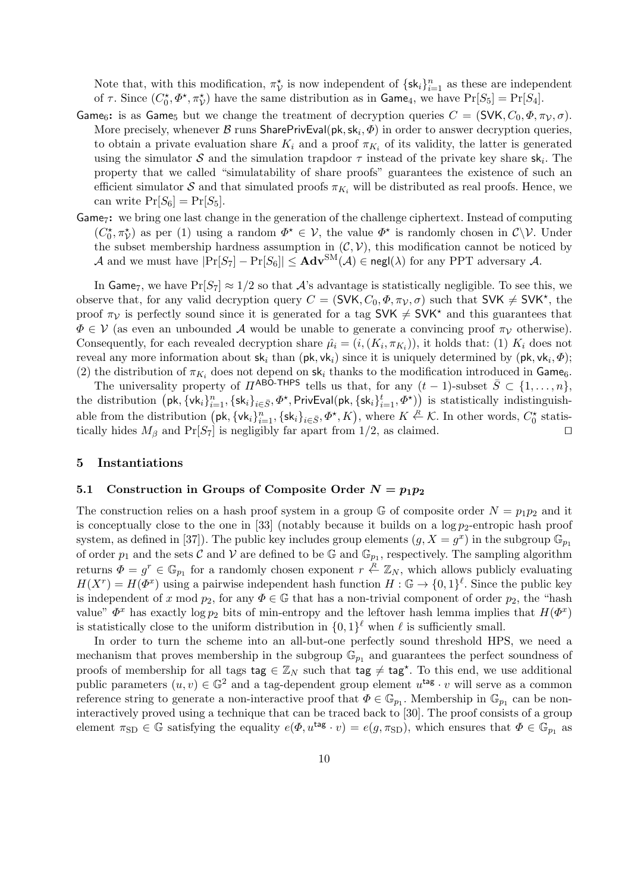Note that, with this modification,  $\pi_{\mathcal{V}}^*$  is now independent of  $\{\mathsf{sk}_i\}_{i=1}^n$  as these are independent of  $\tau$ . Since  $(C_0^*, \Phi^*, \pi_V^*)$  have the same distribution as in **Game**<sub>4</sub>, we have  $Pr[S_5] = Pr[S_4]$ .

- Game<sub>6</sub>: is as Game<sub>5</sub> but we change the treatment of decryption queries  $C = (SVK, C_0, \Phi, \pi_V, \sigma)$ . More precisely, whenever  $B$  runs SharePrivEval(pk, sk<sub>i</sub>,  $\Phi$ ) in order to answer decryption queries, to obtain a private evaluation share  $K_i$  and a proof  $\pi_{K_i}$  of its validity, the latter is generated using the simulator S and the simulation trapdoor  $\tau$  instead of the private key share  $sk_i$ . The property that we called "simulatability of share proofs" guarantees the existence of such an efficient simulator S and that simulated proofs  $\pi_{K_i}$  will be distributed as real proofs. Hence, we can write  $Pr[S_6] = Pr[S_5]$ .
- Game<sub>7</sub>: we bring one last change in the generation of the challenge ciphertext. Instead of computing  $(C_0^*, \pi_V^*)$  as per (1) using a random  $\Phi^* \in \mathcal{V}$ , the value  $\Phi^*$  is randomly chosen in  $\mathcal{C}\setminus\mathcal{V}$ . Under the subset membership hardness assumption in  $(C, V)$ , this modification cannot be noticed by A and we must have  $|\Pr[S_7] - \Pr[S_6]| \leq \mathbf{Adv}^{\mathrm{SM}}(\mathcal{A}) \in \mathsf{negl}(\lambda)$  for any PPT adversary A.

In Game<sub>7</sub>, we have  $Pr[S_7] \approx 1/2$  so that A's advantage is statistically negligible. To see this, we observe that, for any valid decryption query  $C = (SVK, C_0, \Phi, \pi_V, \sigma)$  such that  $SVK \neq SVK^*$ , the proof  $\pi_{\mathcal{V}}$  is perfectly sound since it is generated for a tag SVK  $\neq$  SVK<sup>\*</sup> and this guarantees that  $\Phi \in \mathcal{V}$  (as even an unbounded A would be unable to generate a convincing proof  $\pi_{\mathcal{V}}$  otherwise). Consequently, for each revealed decryption share  $\hat{\mu}_i = (i, (K_i, \pi_{K_i}))$ , it holds that: (1)  $K_i$  does not reveal any more information about  $sk_i$  than  $(\mathsf{pk}, \mathsf{vk}_i)$  since it is uniquely determined by  $(\mathsf{pk}, \mathsf{vk}_i, \Phi)$ ; (2) the distribution of  $\pi_{K_i}$  does not depend on  $sk_i$  thanks to the modification introduced in Game<sub>6</sub>.

The universality property of  $\Pi^{AB\overline{O}-THPS}$  tells us that, for any  $(t-1)$ -subset  $\overline{S} \subset \{1,\ldots,n\}$ , the distribution  $(\mathsf{pk}, \{\mathsf{vk}_i\}_{i=1}^n, \{\mathsf{sk}_i\}_{i \in \bar{S}}, \Phi^\star, \mathsf{PrivEval}(\mathsf{pk}, \{\mathsf{sk}_i\}_{i=1}^t, \Phi^\star))$  is statistically indistinguishable from the distribution  $(\mathsf{pk}, \{\mathsf{vk}_i\}_{i=1}^n, \{\mathsf{sk}_i\}_{i \in \bar{S}}, \Phi^{\star}, K)$ , where  $K \stackrel{R}{\leftarrow} \mathcal{K}$ . In other words,  $C_0^{\star}$  statistically hides  $M_\beta$  and Pr[S<sub>7</sub>] is negligibly far apart from 1/2, as claimed.

#### 5 Instantiations

#### 5.1 Construction in Groups of Composite Order  $N = p_1p_2$

The construction relies on a hash proof system in a group G of composite order  $N = p_1p_2$  and it is conceptually close to the one in [33] (notably because it builds on a  $log p_2$ -entropic hash proof system, as defined in [37]). The public key includes group elements  $(g, X = g^x)$  in the subgroup  $\mathbb{G}_{p_1}$ of order  $p_1$  and the sets C and V are defined to be G and  $\mathbb{G}_{p_1}$ , respectively. The sampling algorithm returns  $\Phi = g^r \in \mathbb{G}_{p_1}$  for a randomly chosen exponent  $r \stackrel{R}{\leftarrow} \mathbb{Z}_N$ , which allows publicly evaluating  $H(X^r) = H(\Phi^x)$  using a pairwise independent hash function  $H: \mathbb{G} \to \{0,1\}^{\ell}$ . Since the public key is independent of x mod  $p_2$ , for any  $\Phi \in \mathbb{G}$  that has a non-trivial component of order  $p_2$ , the "hash value"  $\Phi^x$  has exactly log  $p_2$  bits of min-entropy and the leftover hash lemma implies that  $H(\Phi^x)$ is statistically close to the uniform distribution in  $\{0,1\}^{\ell}$  when  $\ell$  is sufficiently small.

In order to turn the scheme into an all-but-one perfectly sound threshold HPS, we need a mechanism that proves membership in the subgroup  $\mathbb{G}_{p_1}$  and guarantees the perfect soundness of proofs of membership for all tags tag  $\in \mathbb{Z}_N$  such that tag  $\neq$  tag<sup>\*</sup>. To this end, we use additional public parameters  $(u, v) \in \mathbb{G}^2$  and a tag-dependent group element  $u^{\text{tag}} \cdot v$  will serve as a common reference string to generate a non-interactive proof that  $\Phi \in \mathbb{G}_{p_1}$ . Membership in  $\mathbb{G}_{p_1}$  can be noninteractively proved using a technique that can be traced back to [30]. The proof consists of a group element  $\pi_{\text{SD}} \in \mathbb{G}$  satisfying the equality  $e(\Phi, u^{\text{tag}} \cdot v) = e(g, \pi_{\text{SD}})$ , which ensures that  $\Phi \in \mathbb{G}_{p_1}$  as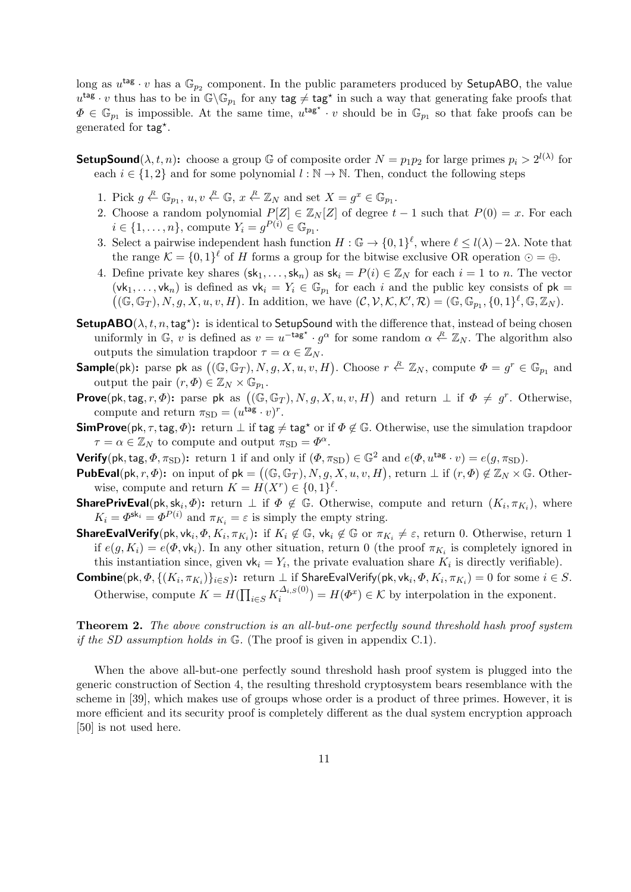long as  $u^{\text{tag}} \cdot v$  has a  $\mathbb{G}_{p_2}$  component. In the public parameters produced by SetupABO, the value  $u^{\text{tag}} \cdot v$  thus has to be in  $\mathbb{G}\backslash\mathbb{G}_{p_1}$  for any  $\tan y \text{ tag} \neq \text{tag}^*$  in such a way that generating fake proofs that  $\Phi \in \mathbb{G}_{p_1}$  is impossible. At the same time,  $u^{\text{tag*}} \cdot v$  should be in  $\mathbb{G}_{p_1}$  so that fake proofs can be generated for tag\*.

- **SetupSound**( $\lambda, t, n$ ): choose a group G of composite order  $N = p_1 p_2$  for large primes  $p_i > 2^{l(\lambda)}$  for each  $i \in \{1,2\}$  and for some polynomial  $l : \mathbb{N} \to \mathbb{N}$ . Then, conduct the following steps
	- 1. Pick  $g \stackrel{R}{\leftarrow} \mathbb{G}_{p_1}, u, v \stackrel{R}{\leftarrow} \mathbb{G}, x \stackrel{R}{\leftarrow} \mathbb{Z}_N$  and set  $X = g^x \in \mathbb{G}_{p_1}$ .
	- 2. Choose a random polynomial  $P[Z] \in \mathbb{Z}_N[Z]$  of degree  $t-1$  such that  $P(0) = x$ . For each  $i \in \{1, \ldots, n\}$ , compute  $Y_i = g^{P(i)} \in \mathbb{G}_{p_1}$ .
	- 3. Select a pairwise independent hash function  $H : \mathbb{G} \to \{0,1\}^{\ell}$ , where  $\ell \leq l(\lambda) 2\lambda$ . Note that the range  $\mathcal{K} = \{0,1\}^{\ell}$  of H forms a group for the bitwise exclusive OR operation  $\odot = \oplus$ .
	- 4. Define private key shares  $(\mathsf{sk}_1, \ldots, \mathsf{sk}_n)$  as  $\mathsf{sk}_i = P(i) \in \mathbb{Z}_N$  for each  $i = 1$  to n. The vector  $(vk_1,\ldots,vk_n)$  is defined as  $vk_i = Y_i \in \mathbb{G}_{p_1}$  for each i and the public key consists of  $pk =$  $((\mathbb{G}, \mathbb{G}_T), N, g, X, u, v, H)$ . In addition, we have  $(C, \mathcal{V}, \mathcal{K}, \mathcal{K}', \mathcal{R}) = (\mathbb{G}, \mathbb{G}_{p_1}, \{0,1\}^{\ell}, \mathbb{G}, \mathbb{Z}_N)$ .
- **SetupABO**( $\lambda$ , t, n, tag<sup>\*</sup>): is identical to SetupSound with the difference that, instead of being chosen uniformly in  $\mathbb{G}$ , v is defined as  $v = u^{-\text{tag*}} \cdot g^{\alpha}$  for some random  $\alpha \stackrel{R}{\leftarrow} \mathbb{Z}_N$ . The algorithm also outputs the simulation trapdoor  $\tau = \alpha \in \mathbb{Z}_N$ .
- **Sample**(pk): parse pk as  $((\mathbb{G}, \mathbb{G}_T), N, g, X, u, v, H)$ . Choose  $r \stackrel{R}{\leftarrow} \mathbb{Z}_N$ , compute  $\Phi = g^r \in \mathbb{G}_{p_1}$  and output the pair  $(r, \Phi) \in \mathbb{Z}_N \times \mathbb{G}_{p_1}$ .
- **Prove**(pk, tag, r,  $\Phi$ ): parse pk as  $((\mathbb{G}, \mathbb{G}_T), N, g, X, u, v, H)$  and return  $\perp$  if  $\Phi \neq g^r$ . Otherwise, compute and return  $\pi_{SD} = (u^{\text{tag}} \cdot v)^r$ .
- **SimProve**(pk,  $\tau$ , tag,  $\Phi$ ): return  $\bot$  if tag  $\neq$  tag<sup>\*</sup> or if  $\Phi \notin \mathbb{G}$ . Otherwise, use the simulation trapdoor  $\tau = \alpha \in \mathbb{Z}_N$  to compute and output  $\pi_{\text{SD}} = \Phi^{\alpha}$ .
- **Verify**(pk, tag,  $\Phi$ ,  $\pi_{SD}$ ): return 1 if and only if  $(\Phi, \pi_{SD}) \in \mathbb{G}^2$  and  $e(\Phi, u^{\text{tag}} \cdot v) = e(g, \pi_{SD})$ .
- **PubEval**(pk, r,  $\Phi$ ): on input of pk =  $((\mathbb{G}, \mathbb{G}_T), N, g, X, u, v, H)$ , return  $\perp$  if  $(r, \Phi) \notin \mathbb{Z}_N \times \mathbb{G}$ . Otherwise, compute and return  $K = H(X^r) \in \{0,1\}^{\ell}$ .
- **SharePrivEval**(pk, sk<sub>i</sub>,  $\Phi$ ): return  $\perp$  if  $\Phi \notin \mathbb{G}$ . Otherwise, compute and return  $(K_i, \pi_{K_i})$ , where  $K_i = \Phi^{\mathsf{sk}_i} = \Phi^{P(i)}$  and  $\pi_{K_i} = \varepsilon$  is simply the empty string.
- **ShareEvalVerify**(pk, vk<sub>i</sub>,  $\Phi$ ,  $K_i$ ,  $\pi_{K_i}$ ): if  $K_i \notin \mathbb{G}$ , vk<sub>i</sub>  $\notin \mathbb{G}$  or  $\pi_{K_i} \neq \varepsilon$ , return 0. Otherwise, return 1 if  $e(g, K_i) = e(\Phi, \mathsf{vk}_i)$ . In any other situation, return 0 (the proof  $\pi_{K_i}$  is completely ignored in this instantiation since, given  $vk_i = Y_i$ , the private evaluation share  $K_i$  is directly verifiable).
- **Combine**(pk,  $\Phi$ ,  $\{(K_i, \pi_{K_i})\}_{i \in S}$ ): return  $\perp$  if ShareEvalVerify(pk, vk<sub>i</sub>,  $\Phi$ ,  $K_i$ ,  $\pi_{K_i}$ ) = 0 for some  $i \in S$ . Otherwise, compute  $K = H(\prod_{i \in S} K_i^{\Delta_{i,S}(0)})$  $\mathcal{L}_{i}^{(\Delta_{i},S(0))}$  =  $H(\Phi^{x}) \in \mathcal{K}$  by interpolation in the exponent.

Theorem 2. The above construction is an all-but-one perfectly sound threshold hash proof system *if the SD assumption holds in*  $\mathbb{G}$ . (The proof is given in appendix C.1).

When the above all-but-one perfectly sound threshold hash proof system is plugged into the generic construction of Section 4, the resulting threshold cryptosystem bears resemblance with the scheme in [39], which makes use of groups whose order is a product of three primes. However, it is more efficient and its security proof is completely different as the dual system encryption approach [50] is not used here.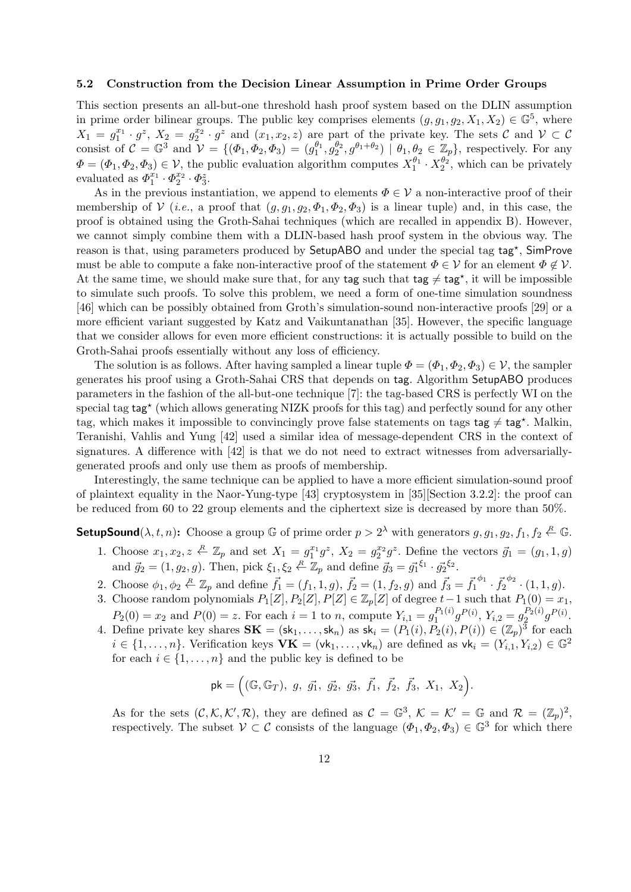#### 5.2 Construction from the Decision Linear Assumption in Prime Order Groups

This section presents an all-but-one threshold hash proof system based on the DLIN assumption in prime order bilinear groups. The public key comprises elements  $(g, g_1, g_2, X_1, X_2) \in \mathbb{G}^5$ , where  $X_1 = g_1^{x_1} \cdot g^z$ ,  $X_2 = g_2^{x_2} \cdot g^z$  and  $(x_1, x_2, z)$  are part of the private key. The sets C and  $\mathcal{V} \subset \mathcal{C}$ consist of  $\mathcal{C} = \mathbb{G}^3$  and  $\mathcal{V} = \{(\Phi_1, \Phi_2, \Phi_3) = (g_1^{\theta_1}, g_2^{\theta_2}, g^{\theta_1 + \theta_2}) \mid \theta_1, \theta_2 \in \mathbb{Z}_p\}$ , respectively. For any  $\Phi = (\Phi_1, \Phi_2, \Phi_3) \in \mathcal{V}$ , the public evaluation algorithm computes  $X_1^{\theta_1} \cdot X_2^{\theta_2}$ , which can be privately evaluated as  $\Phi_1^{x_1} \cdot \Phi_2^{x_2} \cdot \Phi_3^z$ .

As in the previous instantiation, we append to elements  $\Phi \in \mathcal{V}$  a non-interactive proof of their membership of V (*i.e.*, a proof that  $(g, g_1, g_2, \Phi_1, \Phi_2, \Phi_3)$  is a linear tuple) and, in this case, the proof is obtained using the Groth-Sahai techniques (which are recalled in appendix B). However, we cannot simply combine them with a DLIN-based hash proof system in the obvious way. The reason is that, using parameters produced by SetupABO and under the special tag tag<sup>\*</sup>, SimProve must be able to compute a fake non-interactive proof of the statement  $\Phi \in \mathcal{V}$  for an element  $\Phi \notin \mathcal{V}$ . At the same time, we should make sure that, for any tag such that  $\text{tag} \neq \text{tag}^*$ , it will be impossible to simulate such proofs. To solve this problem, we need a form of one-time simulation soundness [46] which can be possibly obtained from Groth's simulation-sound non-interactive proofs [29] or a more efficient variant suggested by Katz and Vaikuntanathan [35]. However, the specific language that we consider allows for even more efficient constructions: it is actually possible to build on the Groth-Sahai proofs essentially without any loss of efficiency.

The solution is as follows. After having sampled a linear tuple  $\Phi = (\Phi_1, \Phi_2, \Phi_3) \in \mathcal{V}$ , the sampler generates his proof using a Groth-Sahai CRS that depends on tag. Algorithm SetupABO produces parameters in the fashion of the all-but-one technique [7]: the tag-based CRS is perfectly WI on the special tag tag<sup>\*</sup> (which allows generating NIZK proofs for this tag) and perfectly sound for any other tag, which makes it impossible to convincingly prove false statements on tags  $tag \neq tag^*$ . Malkin, Teranishi, Vahlis and Yung [42] used a similar idea of message-dependent CRS in the context of signatures. A difference with [42] is that we do not need to extract witnesses from adversariallygenerated proofs and only use them as proofs of membership.

Interestingly, the same technique can be applied to have a more efficient simulation-sound proof of plaintext equality in the Naor-Yung-type [43] cryptosystem in [35][Section 3.2.2]: the proof can be reduced from 60 to 22 group elements and the ciphertext size is decreased by more than 50%.

# **SetupSound**( $\lambda, t, n$ ): Choose a group G of prime order  $p > 2^{\lambda}$  with generators  $g, g_1, g_2, f_1, f_2 \stackrel{R}{\leftarrow} \mathbb{G}$ .

- 1. Choose  $x_1, x_2, z \leftarrow \mathbb{Z}_p$  and set  $X_1 = g_1^{x_1}g^z$ ,  $X_2 = g_2^{x_2}g^z$ . Define the vectors  $\vec{g}_1 = (g_1, 1, g)$ and  $\vec{g}_2 = (1, g_2, g)$ . Then, pick  $\xi_1, \xi_2 \stackrel{R}{\leftarrow} \mathbb{Z}_p$  and define  $\vec{g}_3 = \vec{g}_1^{\star \xi_1} \cdot \vec{g}_2^{\star \xi_2}$ .
- 2. Choose  $\phi_1, \phi_2 \stackrel{R}{\leftarrow} \mathbb{Z}_p$  and define  $\vec{f}_1 = (f_1, 1, g), \ \vec{f}_2 = (1, f_2, g)$  and  $\vec{f}_3 = \vec{f}_1^{\phi_1} \cdot \vec{f}_2^{\phi_2} \cdot (1, 1, g)$ .
- 3. Choose random polynomials  $P_1[Z], P_2[Z], P[Z] \in \mathbb{Z}_p[Z]$  of degree  $t-1$  such that  $P_1(0) = x_1$ ,  $P_2(0) = x_2$  and  $P(0) = z$ . For each  $i = 1$  to n, compute  $Y_{i,1} = g_1^{P_1(i)}$  $j_1^{P_1(i)}g^{P(i)}, Y_{i,2}=g_2^{P_2(i)}$  $P_2^{(i)}g^{P(i)}$ .
- 4. Define private key shares  $\mathbf{SK} = (\mathsf{sk}_1, \ldots, \mathsf{sk}_n)$  as  $\mathsf{sk}_i = (P_1(i), P_2(i), P(i)) \in (\mathbb{Z}_p)^{\bar{3}}$  for each  $i \in \{1,\ldots,n\}$ . Verification keys  $\mathbf{VK} = (\mathsf{vk}_1,\ldots,\mathsf{vk}_n)$  are defined as  $\mathsf{vk}_i = (Y_{i,1}, Y_{i,2}) \in \mathbb{G}^2$ for each  $i \in \{1, \ldots, n\}$  and the public key is defined to be

$$
\mathsf{pk} = ((\mathbb{G}, \mathbb{G}_T), g, \vec{g_1}, \vec{g_2}, \vec{g_3}, \vec{f_1}, \vec{f_2}, \vec{f_3}, X_1, X_2).
$$

As for the sets  $(C, \mathcal{K}, \mathcal{K}', \mathcal{R})$ , they are defined as  $C = \mathbb{G}^3$ ,  $\mathcal{K} = \mathcal{K}' = \mathbb{G}$  and  $\mathcal{R} = (\mathbb{Z}_p)^2$ , respectively. The subset  $V \subset \mathcal{C}$  consists of the language  $(\Phi_1, \Phi_2, \Phi_3) \in \mathbb{G}^3$  for which there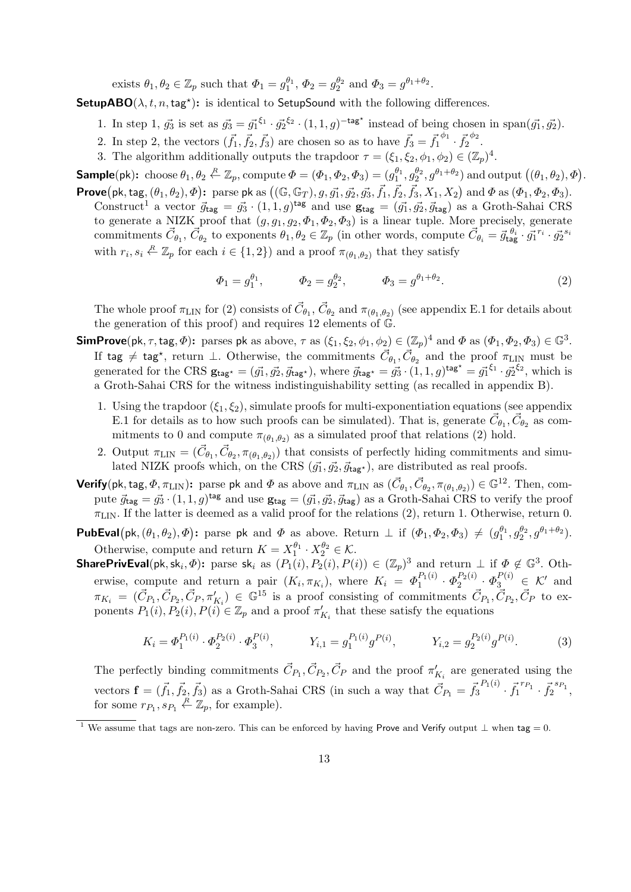exists  $\theta_1, \theta_2 \in \mathbb{Z}_p$  such that  $\Phi_1 = g_1^{\theta_1}, \Phi_2 = g_2^{\theta_2}$  and  $\Phi_3 = g^{\theta_1 + \theta_2}$ .

**SetupABO**( $\lambda$ , t, n, tag<sup>\*</sup>): is identical to SetupSound with the following differences.

- 1. In step 1,  $\vec{g}_3$  is set as  $\vec{g}_3 = \vec{g}_1^{\xi_1} \cdot \vec{g}_2^{\xi_2} \cdot (1, 1, g)^{-\text{tag}}$  instead of being chosen in span $(\vec{g}_1, \vec{g}_2)$ .
- 2. In step 2, the vectors  $(\vec{f}_1, \vec{f}_2, \vec{f}_3)$  are chosen so as to have  $\vec{f}_3 = \vec{f}_1^{\phi_1} \cdot \vec{f}_2^{\phi_2}$ .
- 3. The algorithm additionally outputs the trapdoor  $\tau = (\xi_1, \xi_2, \phi_1, \phi_2) \in (\mathbb{Z}_p)^4$ .

**Sample**(pk): choose  $\theta_1, \theta_2 \stackrel{R}{\leftarrow} \mathbb{Z}_p$ , compute  $\Phi = (\Phi_1, \Phi_2, \Phi_3) = (g_1^{\theta_1}, g_2^{\theta_2}, g^{\theta_1+\theta_2})$  and output  $((\theta_1, \theta_2), \Phi)$ . **Prove**  $(\mathsf{pk}, \mathsf{tag}, (\theta_1, \theta_2), \Phi)$ : parse  $\mathsf{pk}$  as  $((\mathbb{G}, \mathbb{G}_T), g, \vec{g_1}, \vec{g_2}, \vec{g_3}, \vec{f_1}, \vec{f_2}, \vec{f_3}, X_1, X_2)$  and  $\Phi$  as  $(\Phi_1, \Phi_2, \Phi_3)$ .

Construct<sup>1</sup> a vector  $\vec{g}_{\text{tag}} = \vec{g}_3 \cdot (1, 1, g)^{\text{tag}}$  and use  $\mathbf{g}_{\text{tag}} = (\vec{g}_1, \vec{g}_2, \vec{g}_{\text{tag}})$  as a Groth-Sahai CRS to generate a NIZK proof that  $(g, g_1, g_2, \Phi_1, \Phi_2, \Phi_3)$  is a linear tuple. More precisely, generate commitments  $\vec{C}_{\theta_1}, \vec{C}_{\theta_2}$  to exponents  $\theta_1, \theta_2 \in \mathbb{Z}_p$  (in other words, compute  $\vec{C}_{\theta_i} = \vec{g}_{\text{tag}}^{\theta_i} \cdot \vec{g}_1^{\theta_i} \cdot \vec{g}_2^{\theta_i}$ with  $r_i, s_i \stackrel{R}{\leftarrow} \mathbb{Z}_p$  for each  $i \in \{1, 2\}$  and a proof  $\pi_{(\theta_1, \theta_2)}$  that they satisfy

$$
\Phi_1 = g_1^{\theta_1}, \qquad \Phi_2 = g_2^{\theta_2}, \qquad \Phi_3 = g^{\theta_1 + \theta_2}.
$$
 (2)

The whole proof  $\pi_{\text{LIN}}$  for (2) consists of  $\vec{C}_{\theta_1}$ ,  $\vec{C}_{\theta_2}$  and  $\pi_{(\theta_1,\theta_2)}$  (see appendix E.1 for details about the generation of this proof) and requires 12 elements of G.

- **SimProve**(pk,  $\tau$ , tag,  $\Phi$ ): parses pk as above,  $\tau$  as  $(\xi_1, \xi_2, \phi_1, \phi_2) \in (\mathbb{Z}_p)^4$  and  $\Phi$  as  $(\Phi_1, \Phi_2, \Phi_3) \in \mathbb{G}^3$ . If tag  $\neq$  tag\*, return ⊥. Otherwise, the commitments  $\vec{C}_{\theta_1}, \vec{C}_{\theta_2}$  and the proof  $\pi_{\text{LIN}}$  must be generated for the CRS  $\mathbf{g}_{\text{tag}*} = (\vec{g_1}, \vec{g_2}, \vec{g}_{\text{tag}*})$ , where  $\vec{g}_{\text{tag}*} = \vec{g_3} \cdot (1, 1, g)^{\text{tag}*} = \vec{g_1}^{\xi_1} \cdot \vec{g_2}^{\xi_2}$ , which is a Groth-Sahai CRS for the witness indistinguishability setting (as recalled in appendix B).
	- 1. Using the trapdoor  $(\xi_1, \xi_2)$ , simulate proofs for multi-exponentiation equations (see appendix E.1 for details as to how such proofs can be simulated). That is, generate  $\vec{C}_{\theta_1}, \vec{C}_{\theta_2}$  as commitments to 0 and compute  $\pi_{(\theta_1,\theta_2)}$  as a simulated proof that relations (2) hold.
	- 2. Output  $\pi_{\text{LIN}} = (\vec{C}_{\theta_1}, \vec{C}_{\theta_2}, \pi_{(\theta_1, \theta_2)})$  that consists of perfectly hiding commitments and simulated NIZK proofs which, on the CRS  $(\vec{g_1}, \vec{g_2}, \vec{g}_{\text{tag}})$ , are distributed as real proofs.
- **Verify**(pk, tag,  $\Phi$ ,  $\pi$ <sub>LIN</sub>): parse pk and  $\Phi$  as above and  $\pi$ <sub>LIN</sub> as  $(\vec{C}_{\theta_1}, \vec{C}_{\theta_2}, \pi_{(\theta_1, \theta_2)}) \in \mathbb{G}^{12}$ . Then, compute  $\vec{g}_{\text{tag}} = \vec{g}_3 \cdot (1, 1, g)^{\text{tag}}$  and use  $\mathbf{g}_{\text{tag}} = (\vec{g}_1, \vec{g}_2, \vec{g}_{\text{tag}})$  as a Groth-Sahai CRS to verify the proof  $\pi_{\text{LIN}}$ . If the latter is deemed as a valid proof for the relations (2), return 1. Otherwise, return 0.

**PubEval**(pk,  $(\theta_1, \theta_2), \Phi$ ): parse pk and  $\Phi$  as above. Return  $\perp$  if  $(\Phi_1, \Phi_2, \Phi_3) \neq (g_1^{\theta_1}, g_2^{\theta_2}, g^{\theta_1+\theta_2})$ . Otherwise, compute and return  $K = X_1^{\theta_1} \cdot X_2^{\theta_2} \in \mathcal{K}$ .

**SharePrivEval**(pk, sk<sub>i</sub>,  $\Phi$ ): parse sk<sub>i</sub> as  $(P_1(i), P_2(i), P(i)) \in (\mathbb{Z}_p)^3$  and return  $\perp$  if  $\Phi \notin \mathbb{G}^3$ . Otherwise, compute and return a pair  $(K_i, \pi_{K_i})$ , where  $K_i = \Phi_1^{P_1(i)}$  $\varphi^{P_1(i)}_1 \cdot \varphi^{P_2(i)}_2$  $\frac{P_2(i)}{2} \cdot \Phi_3^{P(i)} \in \mathcal{K}'$  and  $\pi_{K_i} = (\vec{C}_{P_1}, \vec{C}_{P_2}, \vec{C}_P, \pi'_{K_i}) \in \mathbb{G}^{15}$  is a proof consisting of commitments  $\vec{C}_{P_1}, \vec{C}_{P_2}, \vec{C}_P$  to exponents  $P_1(i), P_2(i), P(i) \in \mathbb{Z}_p$  and a proof  $\pi'_{K_i}$  that these satisfy the equations

$$
K_i = \Phi_1^{P_1(i)} \cdot \Phi_2^{P_2(i)} \cdot \Phi_3^{P(i)}, \qquad Y_{i,1} = g_1^{P_1(i)} g^{P(i)}, \qquad Y_{i,2} = g_2^{P_2(i)} g^{P(i)}.
$$
 (3)

The perfectly binding commitments  $\vec{C}_{P_1}, \vec{C}_{P_2}, \vec{C}_P$  and the proof  $\pi'_{K_i}$  are generated using the vectors  $\mathbf{f} = (\vec{f}_1, \vec{f}_2, \vec{f}_3)$  as a Groth-Sahai CRS (in such a way that  $\vec{C}_{P_1} = \vec{f}_3^{P_1(i)} \cdot \vec{f}_1^{r_{P_1}} \cdot \vec{f}_2^{s_{P_1}}$ , for some  $r_{P_1}, s_{P_1} \stackrel{R}{\leftarrow} \mathbb{Z}_p$ , for example).

<sup>&</sup>lt;sup>1</sup> We assume that tags are non-zero. This can be enforced by having Prove and Verify output  $\perp$  when tag = 0.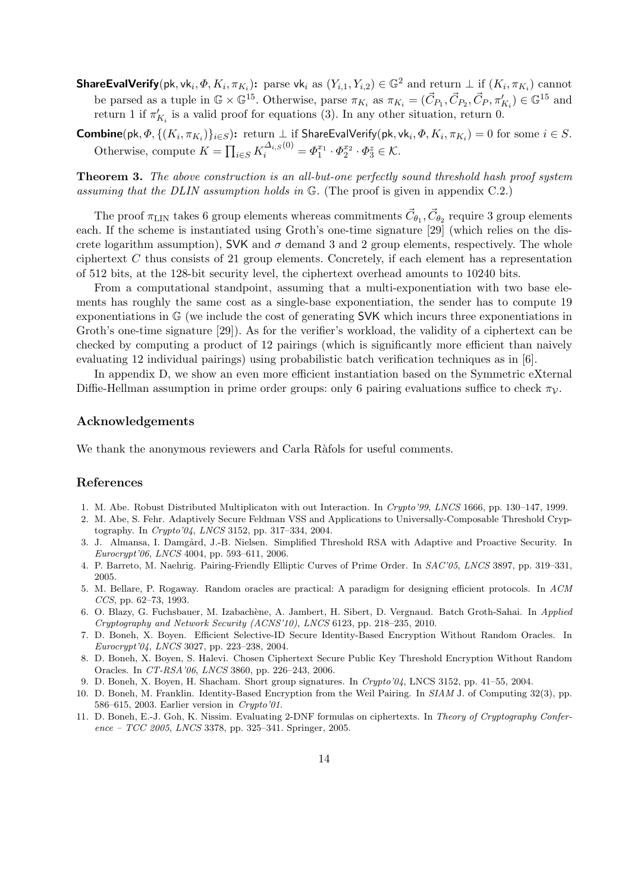- **ShareEvalVerify**(pk, vk<sub>i</sub>,  $\Phi$ ,  $K_i$ ,  $\pi_{K_i}$ ): parse vk<sub>i</sub> as  $(Y_{i,1}, Y_{i,2}) \in \mathbb{G}^2$  and return  $\perp$  if  $(K_i, \pi_{K_i})$  cannot be parsed as a tuple in  $\mathbb{G} \times \mathbb{G}^{15}$ . Otherwise, parse  $\pi_{K_i}$  as  $\pi_{K_i} = (\vec{C}_{P_1}, \vec{C}_{P_2}, \vec{C}_P, \pi'_{K_i}) \in \mathbb{G}^{15}$  and return 1 if  $\pi'_{K_i}$  is a valid proof for equations (3). In any other situation, return 0.
- **Combine**(pk,  $\Phi$ ,  $\{(K_i, \pi_{K_i})\}_{i \in S}$ ): return  $\perp$  if ShareEvalVerify(pk, vk<sub>i</sub>,  $\Phi$ ,  $K_i$ ,  $\pi_{K_i}$ ) = 0 for some  $i \in S$ . Otherwise, compute  $K = \prod_{i \in S} K_i^{\Delta_{i,S}(0)} = \Phi_1^{x_1} \cdot \Phi_2^{x_2} \cdot \Phi_3^{z} \in \mathcal{K}$ .

**Theorem 3.** The above construction is an all-but-one perfectly sound threshold hash proof system assuming that the DLIN assumption holds in G. (The proof is given in appendix C.2.)

The proof  $\pi_{\rm LIN}$  takes 6 group elements whereas commitments  $\vec{C}_{\theta_1}, \vec{C}_{\theta_2}$  require 3 group elements each. If the scheme is instantiated using Groth's one-time signature [29] (which relies on the discrete logarithm assumption), SVK and  $\sigma$  demand 3 and 2 group elements, respectively. The whole ciphertext  $C$  thus consists of 21 group elements. Concretely, if each element has a representation of 512 bits, at the 128-bit security level, the ciphertext overhead amounts to 10240 bits.

From a computational standpoint, assuming that a multi-exponentiation with two base elements has roughly the same cost as a single-base exponentiation, the sender has to compute 19 exponentiations in G (we include the cost of generating SVK which incurs three exponentiations in Groth's one-time signature [29]). As for the verifier's workload, the validity of a ciphertext can be checked by computing a product of 12 pairings (which is significantly more efficient than naively evaluating 12 individual pairings) using probabilistic batch verification techniques as in [6].

In appendix D, we show an even more efficient instantiation based on the Symmetric eXternal Diffie-Hellman assumption in prime order groups: only 6 pairing evaluations suffice to check  $\pi_{\mathcal{V}}$ .

#### Acknowledgements

We thank the anonymous reviewers and Carla Ràfols for useful comments.

#### References

- 1. M. Abe. Robust Distributed Multiplicaton with out Interaction. In Crypto'99, LNCS 1666, pp. 130–147, 1999.
- 2. M. Abe, S. Fehr. Adaptively Secure Feldman VSS and Applications to Universally-Composable Threshold Cryptography. In Crypto'04, LNCS 3152, pp. 317–334, 2004.
- 3. J. Almansa, I. Damgård, J.-B. Nielsen. Simplified Threshold RSA with Adaptive and Proactive Security. In Eurocrypt'06, LNCS 4004, pp. 593–611, 2006.
- 4. P. Barreto, M. Naehrig. Pairing-Friendly Elliptic Curves of Prime Order. In SAC'05, LNCS 3897, pp. 319–331, 2005.
- 5. M. Bellare, P. Rogaway. Random oracles are practical: A paradigm for designing efficient protocols. In ACM CCS, pp. 62–73, 1993.
- 6. O. Blazy, G. Fuchsbauer, M. Izabach`ene, A. Jambert, H. Sibert, D. Vergnaud. Batch Groth-Sahai. In Applied Cryptography and Network Security (ACNS'10), LNCS 6123, pp. 218–235, 2010.
- 7. D. Boneh, X. Boyen. Efficient Selective-ID Secure Identity-Based Encryption Without Random Oracles. In Eurocrypt'04, LNCS 3027, pp. 223–238, 2004.
- 8. D. Boneh, X. Boyen, S. Halevi. Chosen Ciphertext Secure Public Key Threshold Encryption Without Random Oracles. In CT-RSA'06, LNCS 3860, pp. 226–243, 2006.
- 9. D. Boneh, X. Boyen, H. Shacham. Short group signatures. In Crypto'04, LNCS 3152, pp. 41–55, 2004.
- 10. D. Boneh, M. Franklin. Identity-Based Encryption from the Weil Pairing. In SIAM J. of Computing 32(3), pp. 586–615, 2003. Earlier version in Crypto'01.
- 11. D. Boneh, E.-J. Goh, K. Nissim. Evaluating 2-DNF formulas on ciphertexts. In Theory of Cryptography Conference – TCC 2005, LNCS 3378, pp. 325–341. Springer, 2005.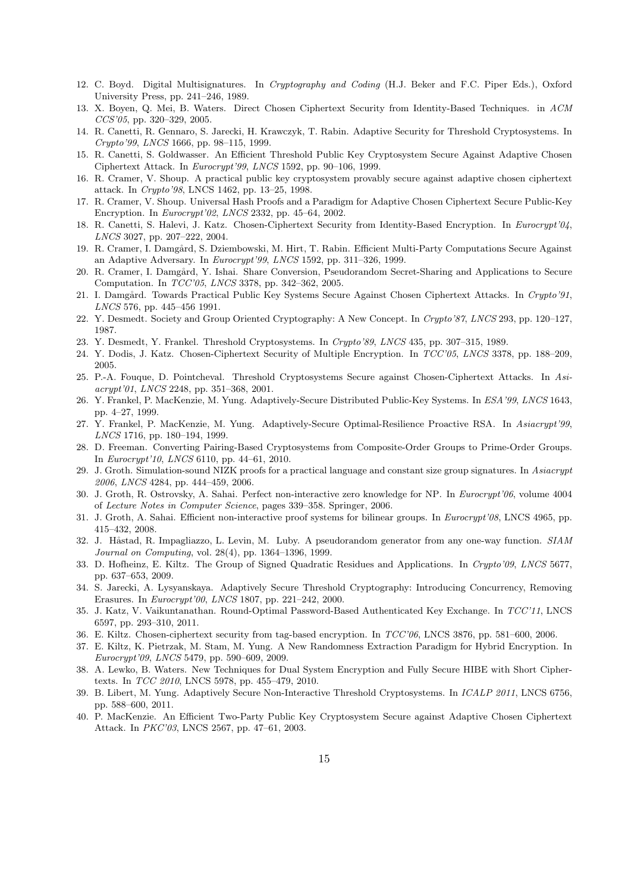- 12. C. Boyd. Digital Multisignatures. In Cryptography and Coding (H.J. Beker and F.C. Piper Eds.), Oxford University Press, pp. 241–246, 1989.
- 13. X. Boyen, Q. Mei, B. Waters. Direct Chosen Ciphertext Security from Identity-Based Techniques. in ACM CCS'05, pp. 320–329, 2005.
- 14. R. Canetti, R. Gennaro, S. Jarecki, H. Krawczyk, T. Rabin. Adaptive Security for Threshold Cryptosystems. In Crypto'99, LNCS 1666, pp. 98–115, 1999.
- 15. R. Canetti, S. Goldwasser. An Efficient Threshold Public Key Cryptosystem Secure Against Adaptive Chosen Ciphertext Attack. In Eurocrypt'99, LNCS 1592, pp. 90–106, 1999.
- 16. R. Cramer, V. Shoup. A practical public key cryptosystem provably secure against adaptive chosen ciphertext attack. In Crypto'98, LNCS 1462, pp. 13–25, 1998.
- 17. R. Cramer, V. Shoup. Universal Hash Proofs and a Paradigm for Adaptive Chosen Ciphertext Secure Public-Key Encryption. In Eurocrypt'02, LNCS 2332, pp. 45–64, 2002.
- 18. R. Canetti, S. Halevi, J. Katz. Chosen-Ciphertext Security from Identity-Based Encryption. In Eurocrypt'04, LNCS 3027, pp. 207–222, 2004.
- 19. R. Cramer, I. Damgård, S. Dziembowski, M. Hirt, T. Rabin. Efficient Multi-Party Computations Secure Against an Adaptive Adversary. In Eurocrypt'99, LNCS 1592, pp. 311–326, 1999.
- 20. R. Cramer, I. Damgård, Y. Ishai. Share Conversion, Pseudorandom Secret-Sharing and Applications to Secure Computation. In TCC'05, LNCS 3378, pp. 342–362, 2005.
- 21. I. Damgård. Towards Practical Public Key Systems Secure Against Chosen Ciphertext Attacks. In Crypto'91, LNCS 576, pp. 445–456 1991.
- 22. Y. Desmedt. Society and Group Oriented Cryptography: A New Concept. In Crypto'87, LNCS 293, pp. 120–127, 1987.
- 23. Y. Desmedt, Y. Frankel. Threshold Cryptosystems. In Crypto'89, LNCS 435, pp. 307–315, 1989.
- 24. Y. Dodis, J. Katz. Chosen-Ciphertext Security of Multiple Encryption. In TCC'05, LNCS 3378, pp. 188–209, 2005.
- 25. P.-A. Fouque, D. Pointcheval. Threshold Cryptosystems Secure against Chosen-Ciphertext Attacks. In Asiacrypt'01, LNCS 2248, pp. 351–368, 2001.
- 26. Y. Frankel, P. MacKenzie, M. Yung. Adaptively-Secure Distributed Public-Key Systems. In ESA'99, LNCS 1643, pp. 4–27, 1999.
- 27. Y. Frankel, P. MacKenzie, M. Yung. Adaptively-Secure Optimal-Resilience Proactive RSA. In Asiacrypt'99, LNCS 1716, pp. 180–194, 1999.
- 28. D. Freeman. Converting Pairing-Based Cryptosystems from Composite-Order Groups to Prime-Order Groups. In Eurocrypt'10, LNCS 6110, pp. 44–61, 2010.
- 29. J. Groth. Simulation-sound NIZK proofs for a practical language and constant size group signatures. In Asiacrypt 2006, LNCS 4284, pp. 444–459, 2006.
- 30. J. Groth, R. Ostrovsky, A. Sahai. Perfect non-interactive zero knowledge for NP. In Eurocrypt'06, volume 4004 of Lecture Notes in Computer Science, pages 339–358. Springer, 2006.
- 31. J. Groth, A. Sahai. Efficient non-interactive proof systems for bilinear groups. In Eurocrypt'08, LNCS 4965, pp. 415–432, 2008.
- 32. J. Håstad, R. Impagliazzo, L. Levin, M. Luby. A pseudorandom generator from any one-way function. SIAM Journal on Computing, vol. 28(4), pp. 1364–1396, 1999.
- 33. D. Hofheinz, E. Kiltz. The Group of Signed Quadratic Residues and Applications. In Crypto'09, LNCS 5677, pp. 637–653, 2009.
- 34. S. Jarecki, A. Lysyanskaya. Adaptively Secure Threshold Cryptography: Introducing Concurrency, Removing Erasures. In Eurocrypt'00, LNCS 1807, pp. 221–242, 2000.
- 35. J. Katz, V. Vaikuntanathan. Round-Optimal Password-Based Authenticated Key Exchange. In TCC'11, LNCS 6597, pp. 293–310, 2011.
- 36. E. Kiltz. Chosen-ciphertext security from tag-based encryption. In TCC'06, LNCS 3876, pp. 581–600, 2006.
- 37. E. Kiltz, K. Pietrzak, M. Stam, M. Yung. A New Randomness Extraction Paradigm for Hybrid Encryption. In Eurocrypt'09, LNCS 5479, pp. 590–609, 2009.
- 38. A. Lewko, B. Waters. New Techniques for Dual System Encryption and Fully Secure HIBE with Short Ciphertexts. In TCC 2010, LNCS 5978, pp. 455–479, 2010.
- 39. B. Libert, M. Yung. Adaptively Secure Non-Interactive Threshold Cryptosystems. In ICALP 2011, LNCS 6756, pp. 588–600, 2011.
- 40. P. MacKenzie. An Efficient Two-Party Public Key Cryptosystem Secure against Adaptive Chosen Ciphertext Attack. In PKC'03, LNCS 2567, pp. 47–61, 2003.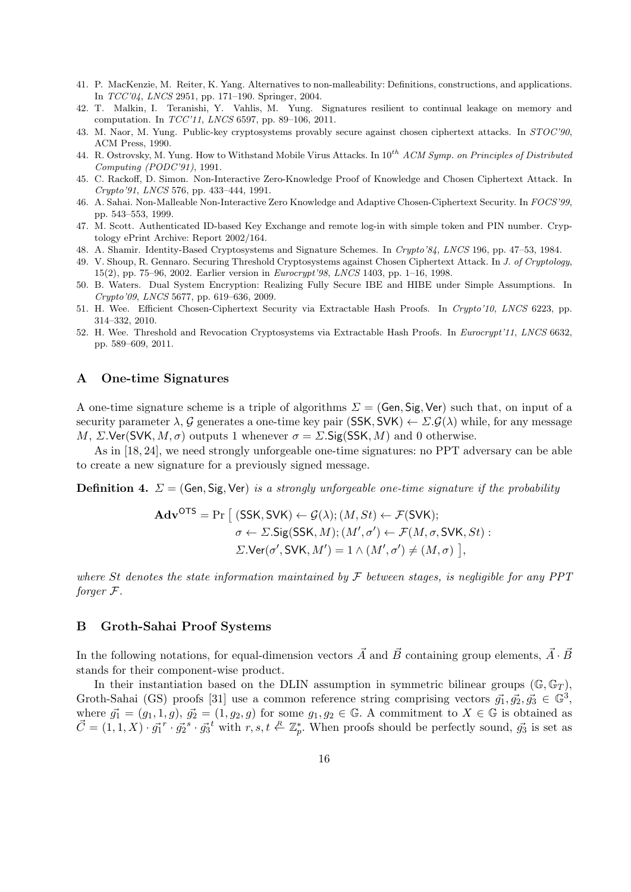- 41. P. MacKenzie, M. Reiter, K. Yang. Alternatives to non-malleability: Definitions, constructions, and applications. In TCC'04, LNCS 2951, pp. 171–190. Springer, 2004.
- 42. T. Malkin, I. Teranishi, Y. Vahlis, M. Yung. Signatures resilient to continual leakage on memory and computation. In TCC'11, LNCS 6597, pp. 89–106, 2011.
- 43. M. Naor, M. Yung. Public-key cryptosystems provably secure against chosen ciphertext attacks. In STOC'90, ACM Press, 1990.
- 44. R. Ostrovsky, M. Yung. How to Withstand Mobile Virus Attacks. In 10<sup>th</sup> ACM Symp. on Principles of Distributed Computing (PODC'91), 1991.
- 45. C. Rackoff, D. Simon. Non-Interactive Zero-Knowledge Proof of Knowledge and Chosen Ciphertext Attack. In Crypto'91, LNCS 576, pp. 433–444, 1991.
- 46. A. Sahai. Non-Malleable Non-Interactive Zero Knowledge and Adaptive Chosen-Ciphertext Security. In FOCS'99, pp. 543–553, 1999.
- 47. M. Scott. Authenticated ID-based Key Exchange and remote log-in with simple token and PIN number. Cryptology ePrint Archive: Report 2002/164.
- 48. A. Shamir. Identity-Based Cryptosystems and Signature Schemes. In Crypto'84, LNCS 196, pp. 47–53, 1984.
- 49. V. Shoup, R. Gennaro. Securing Threshold Cryptosystems against Chosen Ciphertext Attack. In J. of Cryptology, 15(2), pp. 75–96, 2002. Earlier version in Eurocrypt'98, LNCS 1403, pp. 1–16, 1998.
- 50. B. Waters. Dual System Encryption: Realizing Fully Secure IBE and HIBE under Simple Assumptions. In Crypto'09, LNCS 5677, pp. 619–636, 2009.
- 51. H. Wee. Efficient Chosen-Ciphertext Security via Extractable Hash Proofs. In Crypto'10, LNCS 6223, pp. 314–332, 2010.
- 52. H. Wee. Threshold and Revocation Cryptosystems via Extractable Hash Proofs. In Eurocrypt'11, LNCS 6632, pp. 589–609, 2011.

# A One-time Signatures

A one-time signature scheme is a triple of algorithms  $\Sigma = (Gen, Sig, Ver)$  such that, on input of a security parameter  $\lambda$ , G generates a one-time key pair (SSK, SVK)  $\leftarrow \Sigma \cdot \mathcal{G}(\lambda)$  while, for any message M,  $\Sigma$ .Ver(SVK,  $M, \sigma$ ) outputs 1 whenever  $\sigma = \Sigma$ .Sig(SSK, M) and 0 otherwise.

As in [18, 24], we need strongly unforgeable one-time signatures: no PPT adversary can be able to create a new signature for a previously signed message.

**Definition 4.**  $\Sigma = (Gen, Sig, Ver)$  is a strongly unforgeable one-time signature if the probability

$$
\mathbf{Adv}^{\mathsf{OTS}} = \Pr \left[ \left( \mathsf{SSK}, \mathsf{SVK} \right) \leftarrow \mathcal{G}(\lambda); (M, St) \leftarrow \mathcal{F}(\mathsf{SVK});
$$
\n
$$
\sigma \leftarrow \Sigma.\mathsf{Sig}(\mathsf{SSK}, M); (M', \sigma') \leftarrow \mathcal{F}(M, \sigma, \mathsf{SVK}, St) :
$$
\n
$$
\Sigma.\mathsf{Ver}(\sigma', \mathsf{SVK}, M') = 1 \land (M', \sigma') \neq (M, \sigma) \right),
$$

where St denotes the state information maintained by  $\mathcal F$  between stages, is negligible for any PPT forger  $\mathcal{F}$ .

#### B Groth-Sahai Proof Systems

In the following notations, for equal-dimension vectors  $\vec{A}~$  and  $\vec{B}~$  containing group elements,  $\vec{A} \cdot \vec{B}$ stands for their component-wise product.

In their instantiation based on the DLIN assumption in symmetric bilinear groups  $(\mathbb{G}, \mathbb{G}_T)$ , Groth-Sahai (GS) proofs [31] use a common reference string comprising vectors  $\vec{g}_1, \vec{g}_2, \vec{g}_3 \in \mathbb{G}^3$ , where  $\vec{g_1} = (g_1, 1, g), \vec{g_2} = (1, g_2, g)$  for some  $g_1, g_2 \in \mathbb{G}$ . A commitment to  $X \in \mathbb{G}$  is obtained as  $\vec{C} = (1, 1, X) \cdot \vec{g_1}^r \cdot \vec{g_2}^s \cdot \vec{g_3}^t$  with  $r, s, t \in \mathbb{Z}_p^*$ . When proofs should be perfectly sound,  $\vec{g_3}$  is set as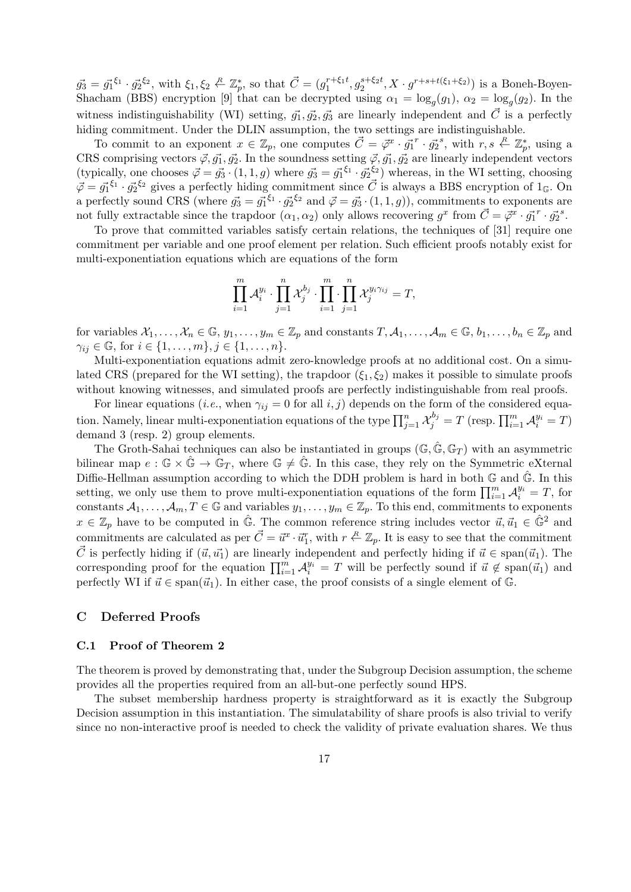$\vec{g}_3 = \vec{g}_1^{\cdot \xi_1} \cdot \vec{g}_2^{\cdot \xi_2}$ , with  $\xi_1, \xi_2 \stackrel{R}{\leftarrow} \mathbb{Z}_p^*$ , so that  $\vec{C} = (g_1^{r+\xi_1 t}, g_2^{s+\xi_2 t}, X \cdot g^{r+s+t(\xi_1+\xi_2)})$  is a Boneh-Boyen-Shacham (BBS) encryption [9] that can be decrypted using  $\alpha_1 = \log_g(g_1)$ ,  $\alpha_2 = \log_g(g_2)$ . In the witness indistinguishability (WI) setting,  $\vec{g}_1, \vec{g}_2, \vec{g}_3$  are linearly independent and  $\vec{C}$  is a perfectly hiding commitment. Under the DLIN assumption, the two settings are indistinguishable.

To commit to an exponent  $x \in \mathbb{Z}_p$ , one computes  $\vec{C} = \vec{\varphi}^x \cdot \vec{g_1}^r \cdot \vec{g_2}^s$ , with  $r, s \leftarrow \mathbb{Z}_p^*$ , using a CRS comprising vectors  $\vec{\varphi}, \vec{g_1}, \vec{g_2}$ . In the soundness setting  $\vec{\varphi}, \vec{g_1}, \vec{g_2}$  are linearly independent vectors (typically, one chooses  $\vec{\varphi} = \vec{g_3} \cdot (1, 1, g)$  where  $\vec{g_3} = \vec{g_1}^{\xi_1} \cdot \vec{g_2}^{\xi_2}$ ) whereas, in the WI setting, choosing  $\vec{\varphi} = \vec{g_1}^{\xi_1} \cdot \vec{g_2}^{\xi_2}$  gives a perfectly hiding commitment since  $\vec{C}$  is always a BBS encryption of 1<sub>G</sub>. On a perfectly sound CRS (where  $\vec{g}_3 = \vec{g}_1^{\xi_1} \cdot \vec{g}_2^{\xi_2}$  and  $\vec{\varphi} = \vec{g}_3 \cdot (1, 1, g)$ ), commitments to exponents are not fully extractable since the trapdoor  $(\alpha_1, \alpha_2)$  only allows recovering  $g^x$  from  $\vec{C} = \vec{\varphi}^x \cdot \vec{g_1}^r \cdot \vec{g_2}^s$ .

To prove that committed variables satisfy certain relations, the techniques of [31] require one commitment per variable and one proof element per relation. Such efficient proofs notably exist for multi-exponentiation equations which are equations of the form

$$
\prod_{i=1}^m \mathcal{A}_i^{y_i} \cdot \prod_{j=1}^n \mathcal{X}_j^{b_j} \cdot \prod_{i=1}^m \cdot \prod_{j=1}^n \mathcal{X}_j^{y_i \gamma_{ij}} = T,
$$

for variables  $\mathcal{X}_1,\ldots,\mathcal{X}_n \in \mathbb{G}, y_1,\ldots,y_m \in \mathbb{Z}_p$  and constants  $T,\mathcal{A}_1,\ldots,\mathcal{A}_m \in \mathbb{G}, b_1,\ldots,b_n \in \mathbb{Z}_p$  and  $\gamma_{ij} \in \mathbb{G}$ , for  $i \in \{1, ..., m\}, j \in \{1, ..., n\}.$ 

Multi-exponentiation equations admit zero-knowledge proofs at no additional cost. On a simulated CRS (prepared for the WI setting), the trapdoor  $(\xi_1, \xi_2)$  makes it possible to simulate proofs without knowing witnesses, and simulated proofs are perfectly indistinguishable from real proofs.

For linear equations (*i.e.*, when  $\gamma_{ij} = 0$  for all  $i, j$ ) depends on the form of the considered equation. Namely, linear multi-exponentiation equations of the type  $\prod_{j=1}^n \mathcal{X}_j^{b_j} = T$  (resp.  $\prod_{i=1}^m \mathcal{A}_i^{y_i} = T$ ) demand 3 (resp. 2) group elements.

The Groth-Sahai techniques can also be instantiated in groups  $(\mathbb{G}, \hat{\mathbb{G}}, \mathbb{G}_T)$  with an asymmetric bilinear map  $e : \mathbb{G} \times \hat{\mathbb{G}} \to \mathbb{G}_T$ , where  $\mathbb{G} \neq \hat{\mathbb{G}}$ . In this case, they rely on the Symmetric eXternal Diffie-Hellman assumption according to which the DDH problem is hard in both  $\mathbb G$  and  $\hat{\mathbb G}$ . In this setting, we only use them to prove multi-exponentiation equations of the form  $\prod_{i=1}^m \mathcal{A}_i^{y_i} = T$ , for constants  $A_1, \ldots, A_m, T \in \mathbb{G}$  and variables  $y_1, \ldots, y_m \in \mathbb{Z}_p$ . To this end, commitments to exponents  $x \in \mathbb{Z}_p$  have to be computed in  $\hat{\mathbb{G}}$ . The common reference string includes vector  $\vec{u}, \vec{u}_1 \in \hat{\mathbb{G}}^2$  and commitments are calculated as per  $\vec{C} = \vec{u}^x \cdot \vec{u}_1^r$ , with  $r \stackrel{R}{\leftarrow} \mathbb{Z}_p$ . It is easy to see that the commitment  $\vec{C}$  is perfectly hiding if  $(\vec{u}, \vec{u_1})$  are linearly independent and perfectly hiding if  $\vec{u} \in \text{span}(\vec{u_1})$ . The corresponding proof for the equation  $\prod_{i=1}^m \mathcal{A}_i^{y_i} = T$  will be perfectly sound if  $\vec{u} \notin \text{span}(\vec{u}_1)$  and perfectly WI if  $\vec{u} \in \text{span}(\vec{u}_1)$ . In either case, the proof consists of a single element of G.

## C Deferred Proofs

#### C.1 Proof of Theorem 2

The theorem is proved by demonstrating that, under the Subgroup Decision assumption, the scheme provides all the properties required from an all-but-one perfectly sound HPS.

The subset membership hardness property is straightforward as it is exactly the Subgroup Decision assumption in this instantiation. The simulatability of share proofs is also trivial to verify since no non-interactive proof is needed to check the validity of private evaluation shares. We thus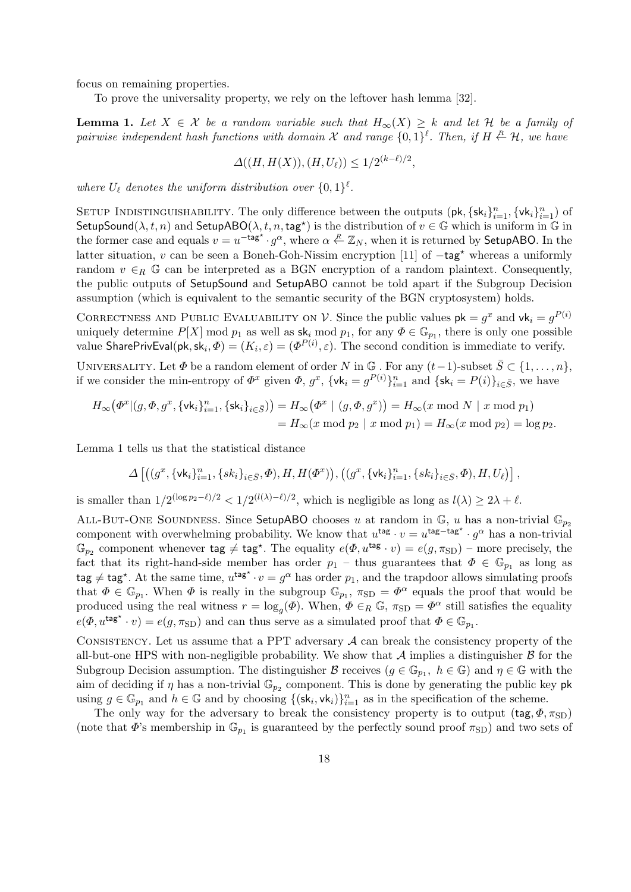focus on remaining properties.

To prove the universality property, we rely on the leftover hash lemma [32].

**Lemma 1.** Let  $X \in \mathcal{X}$  be a random variable such that  $H_{\infty}(X) > k$  and let H be a family of pairwise independent hash functions with domain X and range  $\{0,1\}^{\ell}$ . Then, if  $H \stackrel{R}{\leftarrow} \mathcal{H}$ , we have

$$
\Delta((H, H(X)), (H, U_{\ell})) \le 1/2^{(k-\ell)/2},
$$

where  $U_{\ell}$  denotes the uniform distribution over  $\{0,1\}^{\ell}$ .

SETUP INDISTINGUISHABILITY. The only difference between the outputs  $(\mathsf{pk}, \{\mathsf{sk}_i\}_{i=1}^n, \{\mathsf{vk}_i\}_{i=1}^n)$  of SetupSound( $\lambda, t, n$ ) and SetupABO( $\lambda, t, n, \text{tag*}^*$ ) is the distribution of  $v \in \mathbb{G}$  which is uniform in  $\mathbb{G}$  in the former case and equals  $v = u^{-\text{tag}^*} \cdot g^{\alpha}$ , where  $\alpha \stackrel{R}{\leftarrow} \mathbb{Z}_N$ , when it is returned by SetupABO. In the latter situation, v can be seen a Boneh-Goh-Nissim encryption [11] of −tag? whereas a uniformly random  $v \in_R \mathbb{G}$  can be interpreted as a BGN encryption of a random plaintext. Consequently, the public outputs of SetupSound and SetupABO cannot be told apart if the Subgroup Decision assumption (which is equivalent to the semantic security of the BGN cryptosystem) holds.

CORRECTNESS AND PUBLIC EVALUABILITY ON V. Since the public values  $pk = g^x$  and  $vk_i = g^{P(i)}$ uniquely determine  $P[X]$  mod  $p_1$  as well as  $sk_i \mod p_1$ , for any  $\Phi \in \mathbb{G}_{p_1}$ , there is only one possible value SharePrivEval(pk, sk $_i, \Phi$ ) =  $(K_i, \varepsilon)$  =  $(\Phi^{P(i)}, \varepsilon)$ . The second condition is immediate to verify.

UNIVERSALITY. Let  $\Phi$  be a random element of order N in  $\mathbb{G}$ . For any  $(t-1)$ -subset  $\bar{S} \subset \{1, \ldots, n\}$ , if we consider the min-entropy of  $\Phi^x$  given  $\Phi$ ,  $g^x$ ,  $\{\mathsf{vk}_i = g^{P(i)}\}_{i=1}^n$  and  $\{\mathsf{sk}_i = P(i)\}_{i \in \bar{S}}$ , we have

$$
H_{\infty}(\Phi^x | (g, \Phi, g^x, \{\mathsf{vk}_i\}_{i=1}^n, \{\mathsf{sk}_i\}_{i \in \bar{S}})) = H_{\infty}(\Phi^x | (g, \Phi, g^x)) = H_{\infty}(x \bmod N | x \bmod p_1)
$$
  
=  $H_{\infty}(x \bmod p_2 | x \bmod p_1) = H_{\infty}(x \bmod p_2) = \log p_2.$ 

Lemma 1 tells us that the statistical distance

$$
\displaystyle \varDelta\left[\left((g^x, \{\mathsf{vk}_i\}_{i=1}^n, \{sk_i\}_{i\in \bar{S}}, \varPhi), H, H(\varPhi^x)\right), \left((g^x, \{\mathsf{vk}_i\}_{i=1}^n, \{sk_i\}_{i\in \bar{S}}, \varPhi), H, U_\ell\right)\right],
$$

is smaller than  $1/2^{(\log p_2 - \ell)/2} < 1/2^{(\ell(\lambda) - \ell)/2}$ , which is negligible as long as  $l(\lambda) \geq 2\lambda + \ell$ .

ALL-BUT-ONE SOUNDNESS. Since SetupABO chooses u at random in  $\mathbb{G}$ , u has a non-trivial  $\mathbb{G}_{p_2}$ component with overwhelming probability. We know that  $u^{\text{tag}} \cdot v = u^{\text{tag}+ \text{tag}^*} \cdot g^{\alpha}$  has a non-trivial  $\mathbb{G}_{p_2}$  component whenever  $\tan \neq \text{tag}^*$ . The equality  $e(\Phi, u^{\text{tag}} \cdot v) = e(g, \pi_{SD})$  – more precisely, the fact that its right-hand-side member has order  $p_1$  – thus guarantees that  $\Phi \in \mathbb{G}_{p_1}$  as long as  $\text{tag} \neq \text{tag*}^*$ . At the same time,  $u^{\text{tag*}} \cdot v = g^{\alpha}$  has order  $p_1$ , and the trapdoor allows simulating proofs that  $\Phi \in \mathbb{G}_{p_1}$ . When  $\Phi$  is really in the subgroup  $\mathbb{G}_{p_1}$ ,  $\pi_{SD} = \Phi^{\alpha}$  equals the proof that would be produced using the real witness  $r = \log_g(\Phi)$ . When,  $\Phi \in_R \mathbb{G}$ ,  $\pi_{SD} = \Phi^{\alpha}$  still satisfies the equality  $e(\Phi, u^{\text{tag*}} \cdot v) = e(g, \pi_{\text{SD}})$  and can thus serve as a simulated proof that  $\Phi \in \mathbb{G}_{p_1}$ .

CONSISTENCY. Let us assume that a PPT adversary  $A$  can break the consistency property of the all-but-one HPS with non-negligible probability. We show that  $\mathcal A$  implies a distinguisher  $\mathcal B$  for the Subgroup Decision assumption. The distinguisher B receives  $(g \in \mathbb{G}_{p_1}, h \in \mathbb{G})$  and  $\eta \in \mathbb{G}$  with the aim of deciding if  $\eta$  has a non-trivial  $\mathbb{G}_{p_2}$  component. This is done by generating the public key pk using  $g \in \mathbb{G}_{p_1}$  and  $h \in \mathbb{G}$  and by choosing  $\{(\mathsf{sk}_i, \mathsf{vk}_i)\}_{i=1}^n$  as in the specification of the scheme.

The only way for the adversary to break the consistency property is to output  $(\text{tag}, \Phi, \pi_{SD})$ (note that  $\Phi$ 's membership in  $\mathbb{G}_{p_1}$  is guaranteed by the perfectly sound proof  $\pi_{\text{SD}}$ ) and two sets of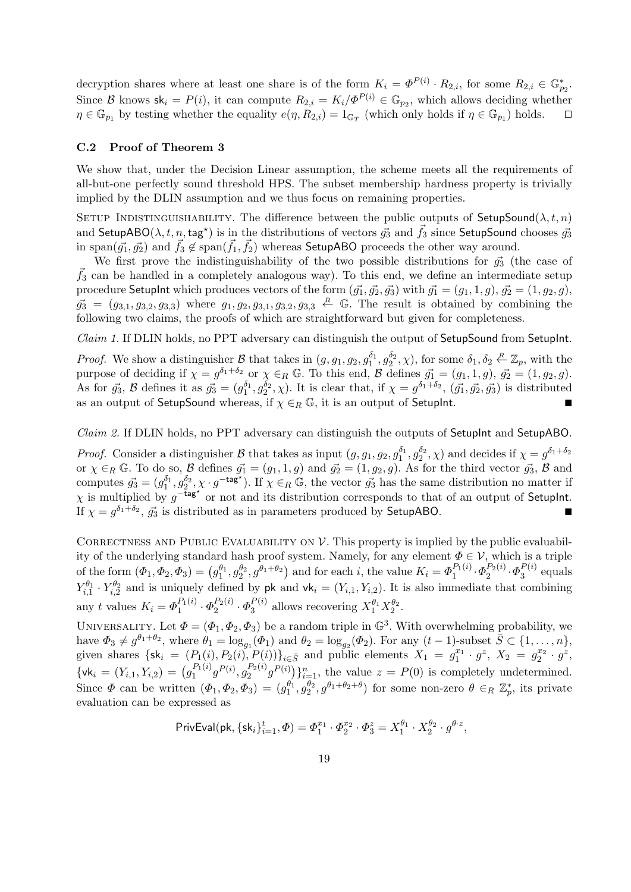decryption shares where at least one share is of the form  $K_i = \Phi^{P(i)} \cdot R_{2,i}$ , for some  $R_{2,i} \in \mathbb{G}_{p_2}^*$ . Since B knows  $\mathsf{sk}_i = P(i)$ , it can compute  $R_{2,i} = K_i / \Phi^{P(i)} \in \mathbb{G}_{p_2}$ , which allows deciding whether  $\eta \in \mathbb{G}_{p_1}$  by testing whether the equality  $e(\eta, R_{2,i}) = 1_{\mathbb{G}_T}$  (which only holds if  $\eta \in \mathbb{G}_{p_1}$ ) holds.  $\square$ 

#### C.2 Proof of Theorem 3

We show that, under the Decision Linear assumption, the scheme meets all the requirements of all-but-one perfectly sound threshold HPS. The subset membership hardness property is trivially implied by the DLIN assumption and we thus focus on remaining properties.

SETUP INDISTINGUISHABILITY. The difference between the public outputs of SetupSound( $\lambda, t, n$ ) and SetupABO( $\lambda, t, n, \textsf{tag}^{\star}$ ) is in the distributions of vectors  $\vec{g_3}$  and  $\vec{f_3}$  since SetupSound chooses  $\vec{g_3}$ in span $(\vec{g_1}, \vec{g_2})$  and  $\vec{f_3} \notin \text{span}(\vec{f_1}, \vec{f_2})$  whereas SetupABO proceeds the other way around.

We first prove the indistinguishability of the two possible distributions for  $\vec{g}_3$  (the case of  $f_3$  can be handled in a completely analogous way). To this end, we define an intermediate setup procedure SetupInt which produces vectors of the form  $(\vec{g_1}, \vec{g_2}, \vec{g_3})$  with  $\vec{g_1} = (g_1, 1, g), \vec{g_2} = (1, g_2, g),$  $\vec{g}_3 = (g_{3,1}, g_{3,2}, g_{3,3})$  where  $g_1, g_2, g_{3,1}, g_{3,2}, g_{3,3} \notin \mathbb{G}$ . The result is obtained by combining the following two claims, the proofs of which are straightforward but given for completeness.

*Claim 1.* If DLIN holds, no PPT adversary can distinguish the output of SetupSound from SetupInt.

*Proof.* We show a distinguisher  $\beta$  that takes in  $(g, g_1, g_2, g_1^{\delta_1}, g_2^{\delta_2}, \chi)$ , for some  $\delta_1, \delta_2 \stackrel{R}{\leftarrow} \mathbb{Z}_p$ , with the purpose of deciding if  $\chi = g^{\delta_1 + \delta_2}$  or  $\chi \in_R \mathbb{G}$ . To this end,  $\mathcal{B}$  defines  $\vec{g}_1 = (g_1, 1, g), \vec{g}_2 = (1, g_2, g)$ . As for  $\vec{g_3}$ , B defines it as  $\vec{g_3} = (g_1^{\delta_1}, g_2^{\delta_2}, \chi)$ . It is clear that, if  $\chi = g^{\delta_1 + \delta_2}$ ,  $(\vec{g_1}, \vec{g_2}, \vec{g_3})$  is distributed as an output of SetupSound whereas, if  $\chi \in_R \mathbb{G}$ , it is an output of SetupInt.

*Claim 2.* If DLIN holds, no PPT adversary can distinguish the outputs of SetupInt and SetupABO.

*Proof.* Consider a distinguisher B that takes as input  $(g, g_1, g_2, g_1^{\delta_1}, g_2^{\delta_2}, \chi)$  and decides if  $\chi = g^{\delta_1 + \delta_2}$ or  $\chi \in_R \mathbb{G}$ . To do so,  $\mathcal{B}$  defines  $\vec{g}_1 = (g_1, 1, g)$  and  $\vec{g}_2 = (1, g_2, g)$ . As for the third vector  $\vec{g}_3$ ,  $\mathcal{B}$  and computes  $\vec{g}_3 = (g_1^{\delta_1}, g_2^{\delta_2}, \chi \cdot g^{-\text{tag*}})$ . If  $\chi \in_R \mathbb{G}$ , the vector  $\vec{g}_3$  has the same distribution no matter if  $\chi$  is multiplied by  $g^{-\text{tag*}}$  or not and its distribution corresponds to that of an output of SetupInt. If  $\chi = g^{\delta_1 + \delta_2}$ ,  $\vec{g_3}$  is distributed as in parameters produced by SetupABO.

CORRECTNESS AND PUBLIC EVALUABILITY ON  $\mathcal V$ . This property is implied by the public evaluability of the underlying standard hash proof system. Namely, for any element  $\Phi \in \mathcal{V}$ , which is a triple of the form  $(\Phi_1, \Phi_2, \Phi_3) = (g_1^{\theta_1}, g_2^{\theta_2}, g^{\theta_1+\theta_2})$  and for each *i*, the value  $K_i = \Phi_1^{P_1(i)}$  $a_1^{P_1(i)} \cdot \Phi_2^{P_2(i)}$  $a_2^{P_2(i)} \cdot \Phi_3^{P(i)}$  $_3^{F(y)}$  equals  $Y_{i,1}^{\theta_1} \cdot Y_{i,2}^{\theta_2}$  and is uniquely defined by pk and  $\mathsf{vk}_i = (Y_{i,1}, Y_{i,2})$ . It is also immediate that combining any t values  $K_i = \Phi_1^{P_1(i)}$  $\frac{P_1(i)}{1}\cdot \varPhi_2^{P_2(i)}$  $\frac{P_2(i)}{2}\cdot \varPhi_3^{P(i)}$  $S_3^{P(i)}$  allows recovering  $X_1^{\theta_1} X_2^{\theta_2}$ .

UNIVERSALITY. Let  $\Phi = (\Phi_1, \Phi_2, \Phi_3)$  be a random triple in  $\mathbb{G}^3$ . With overwhelming probability, we have  $\Phi_3 \neq g^{\theta_1+\theta_2}$ , where  $\theta_1 = \log_{g_1}(\Phi_1)$  and  $\theta_2 = \log_{g_2}(\Phi_2)$ . For any  $(t-1)$ -subset  $\bar{S} \subset \{1, \ldots, n\}$ , given shares  $\{sk_i = (P_1(i), P_2(i), P(i))\}_{i \in \bar{S}}$  and public elements  $X_1 = g_1^{x_1} \cdot g^z$ ,  $X_2 = g_2^{x_2} \cdot g^z$ ,  $\{\mathsf{vk}_i = (Y_{i,1}, Y_{i,2}) = (g_1^{P_1(i)})\}$  $q^{P_1(i)}g^{P(i)}, g_2^{P_2(i)}$  $\{P_2^{(2)}(i)\}_{i=1}^n$ , the value  $z = P(0)$  is completely undetermined. Since  $\Phi$  can be written  $(\Phi_1, \Phi_2, \Phi_3) = (g_1^{\theta_1}, g_2^{\theta_2}, g^{\theta_1+\theta_2+\theta})$  for some non-zero  $\theta \in_R \mathbb{Z}_p^*$ , its private evaluation can be expressed as

$$
\text{PrivEval}(\text{pk}, \{\text{sk}_i\}_{i=1}^t, \Phi) = \Phi_1^{x_1} \cdot \Phi_2^{x_2} \cdot \Phi_3^{z} = X_1^{\theta_1} \cdot X_2^{\theta_2} \cdot g^{\theta \cdot z},
$$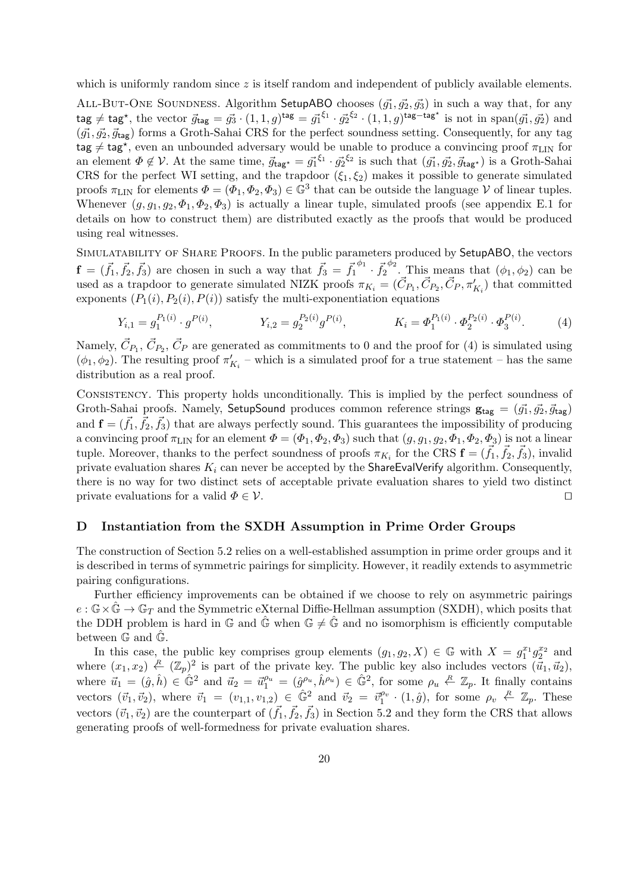which is uniformly random since z is itself random and independent of publicly available elements.

ALL-BUT-ONE SOUNDNESS. Algorithm SetupABO chooses  $(\vec{g_1}, \vec{g_2}, \vec{g_3})$  in such a way that, for any  $\text{tag } \neq \text{tag* }$ , the vector  $\vec{g}_{\text{tag}} = \vec{g_3} \cdot (1, 1, g)^{\text{tag}} = \vec{g_1}^{\xi_1} \cdot \vec{g_2}^{\xi_2} \cdot (1, 1, g)^{\text{tag} - \text{tag}}$  is not in  $\text{span}(\vec{g_1}, \vec{g_2})$  and  $(\vec{g}_1, \vec{g}_2, \vec{g}_{\text{tag}})$  forms a Groth-Sahai CRS for the perfect soundness setting. Consequently, for any tag  $\text{tag} \neq \text{tag}^*,$  even an unbounded adversary would be unable to produce a convincing proof  $\pi_{\text{LIN}}$  for an element  $\Phi \notin \mathcal{V}$ . At the same time,  $\vec{g}_{\text{tag}}^* = \vec{g_1}^{\xi_1} \cdot \vec{g_2}^{\xi_2}$  is such that  $(\vec{g_1}, \vec{g_2}, \vec{g}_{\text{tag}}^*)$  is a Groth-Sahai CRS for the perfect WI setting, and the trapdoor  $(\xi_1, \xi_2)$  makes it possible to generate simulated proofs  $\pi_{\text{LIN}}$  for elements  $\Phi = (\Phi_1, \Phi_2, \Phi_3) \in \mathbb{G}^3$  that can be outside the language V of linear tuples. Whenever  $(g, g_1, g_2, \Phi_1, \Phi_2, \Phi_3)$  is actually a linear tuple, simulated proofs (see appendix E.1 for details on how to construct them) are distributed exactly as the proofs that would be produced using real witnesses.

Simulatability of Share Proofs. In the public parameters produced by SetupABO, the vectors  $\mathbf{f} = (\vec{f}_1, \vec{f}_2, \vec{f}_3)$  are chosen in such a way that  $\vec{f}_3 = \vec{f}_1^{ \phi_1} \cdot \vec{f}_2^{ \phi_2}$ . This means that  $(\phi_1, \phi_2)$  can be used as a trapdoor to generate simulated NIZK proofs  $\pi_{K_i} = (\vec{C}_{P_1}, \vec{C}_{P_2}, \vec{C}_P, \pi'_{K_i})$  that committed exponents  $(P_1(i), P_2(i), P(i))$  satisfy the multi-exponentiation equations

$$
Y_{i,1} = g_1^{P_1(i)} \cdot g^{P(i)}, \qquad Y_{i,2} = g_2^{P_2(i)} g^{P(i)}, \qquad K_i = \Phi_1^{P_1(i)} \cdot \Phi_2^{P_2(i)} \cdot \Phi_3^{P(i)}.
$$
 (4)

Namely,  $\vec{C}_{P_1}, \vec{C}_{P_2}, \vec{C}_P$  are generated as commitments to 0 and the proof for (4) is simulated using  $(\phi_1, \phi_2)$ . The resulting proof  $\pi'_{K_i}$  – which is a simulated proof for a true statement – has the same distribution as a real proof.

Consistency. This property holds unconditionally. This is implied by the perfect soundness of Groth-Sahai proofs. Namely, SetupSound produces common reference strings  $\mathbf{g}_{\text{tag}} = (\vec{g_1}, \vec{g_2}, \vec{g}_{\text{tag}})$ and  $\mathbf{f} = (\vec{f}_1, \vec{f}_2, \vec{f}_3)$  that are always perfectly sound. This guarantees the impossibility of producing a convincing proof  $\pi_{\text{LIN}}$  for an element  $\Phi = (\Phi_1, \Phi_2, \Phi_3)$  such that  $(g, g_1, g_2, \Phi_1, \Phi_2, \Phi_3)$  is not a linear tuple. Moreover, thanks to the perfect soundness of proofs  $\pi_{K_i}$  for the CRS  $\mathbf{f} = (\vec{f}_1, \vec{f}_2, \vec{f}_3)$ , invalid private evaluation shares  $K_i$  can never be accepted by the ShareEvalVerify algorithm. Consequently, there is no way for two distinct sets of acceptable private evaluation shares to yield two distinct private evaluations for a valid  $\Phi \in \mathcal{V}$ .

## D Instantiation from the SXDH Assumption in Prime Order Groups

The construction of Section 5.2 relies on a well-established assumption in prime order groups and it is described in terms of symmetric pairings for simplicity. However, it readily extends to asymmetric pairing configurations.

Further efficiency improvements can be obtained if we choose to rely on asymmetric pairings  $e: \mathbb{G} \times \mathbb{G} \to \mathbb{G}_T$  and the Symmetric eXternal Diffie-Hellman assumption (SXDH), which posits that the DDH problem is hard in  $\mathbb{G}$  and  $\hat{\mathbb{G}}$  when  $\mathbb{G} \neq \hat{\mathbb{G}}$  and no isomorphism is efficiently computable between  $\mathbb{G}$  and  $\tilde{\mathbb{G}}$ .

In this case, the public key comprises group elements  $(g_1, g_2, X) \in \mathbb{G}$  with  $X = g_1^{x_1} g_2^{x_2}$  and where  $(x_1, x_2) \leftarrow (\mathbb{Z}_p)^2$  is part of the private key. The public key also includes vectors  $(\bar{u}_1, \bar{u}_2)$ , where  $\vec{u}_1 = (\hat{g}, \hat{h}) \in \hat{\mathbb{G}}^2$  and  $\vec{u}_2 = \vec{u}_1^{\rho_u} = (\hat{g}_1^{\rho_u}, \hat{h}^{\rho_u}) \in \hat{\mathbb{G}}^2$ , for some  $\rho_u \notin \mathbb{Z}_p$ . It finally contains vectors  $(\vec{v}_1, \vec{v}_2)$ , where  $\vec{v}_1 = (v_{1,1}, v_{1,2}) \in \hat{\mathbb{G}}^2$  and  $\vec{v}_2 = \vec{v}_1^{\rho_v} \cdot (1, \hat{g})$ , for some  $\rho_v \leftarrow R_{p}$ . These vectors  $(\vec{v_1}, \vec{v_2})$  are the counterpart of  $(\vec{f_1}, \vec{f_2}, \vec{f_3})$  in Section 5.2 and they form the CRS that allows generating proofs of well-formedness for private evaluation shares.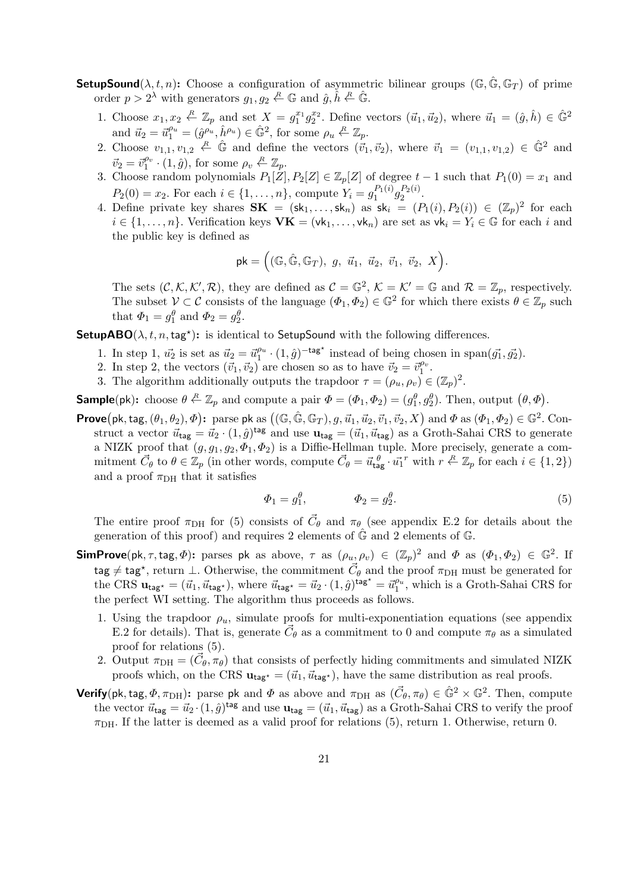**SetupSound** $(\lambda, t, n)$ : Choose a configuration of asymmetric bilinear groups ( $\mathbb{G}, \hat{\mathbb{G}}, \mathbb{G}_T$ ) of prime order  $p > 2^{\lambda}$  with generators  $g_1, g_2 \stackrel{R}{\leftarrow} \mathbb{G}$  and  $\hat{g}, \hat{h} \stackrel{R}{\leftarrow} \hat{\mathbb{G}}$ .

- 1. Choose  $x_1, x_2 \stackrel{R}{\leftarrow} \mathbb{Z}_p$  and set  $X = g_1^{x_1} g_2^{x_2}$ . Define vectors  $(\vec{u}_1, \vec{u}_2)$ , where  $\vec{u}_1 = (\hat{g}, \hat{h}) \in \hat{\mathbb{G}}^2$ and  $\vec{u}_2 = \vec{u}_1^{\rho_u} = (\hat{g}^{\rho_u}, \hat{h}^{\rho_u}) \in \hat{\mathbb{G}}^2$ , for some  $\rho_u \stackrel{R}{\leftarrow} \mathbb{Z}_p$ .
- 2. Choose  $v_{1,1}, v_{1,2} \in \mathbb{G}$  and define the vectors  $(\vec{v}_1, \vec{v}_2)$ , where  $\vec{v}_1 = (v_{1,1}, v_{1,2}) \in \mathbb{G}^2$  and  $\vec{v}_2 = \vec{v}_1^{\rho_v} \cdot (1, \hat{g}),$  for some  $\rho_v \stackrel{R}{\leftarrow} \mathbb{Z}_p$ .
- 3. Choose random polynomials  $P_1[Z], P_2[Z] \in \mathbb{Z}_p[Z]$  of degree  $t-1$  such that  $P_1(0) = x_1$  and  $P_2(0) = x_2$ . For each  $i \in \{1, ..., n\}$ , compute  $Y_i = g_1^{P_1(i)}$  $g_1^{P_1(i)}g_2^{P_2(i)}$  $T_2^{(i)}.$
- 4. Define private key shares  $SK = (sk_1, \ldots, sk_n)$  as  $sk_i = (P_1(i), P_2(i)) \in (\mathbb{Z}_p)^2$  for each  $i \in \{1, \ldots, n\}$ . Verification keys  $\mathbf{V}\mathbf{K} = (\mathsf{vk}_1, \ldots, \mathsf{vk}_n)$  are set as  $\mathsf{vk}_i = Y_i \in \mathbb{G}$  for each i and the public key is defined as

$$
\mathsf{pk} = \Big((\mathbb{G}, \hat{\mathbb{G}}, \mathbb{G}_T), g, \vec{u}_1, \vec{u}_2, \vec{v}_1, \vec{v}_2, X\Big).
$$

The sets  $(C, \mathcal{K}, \mathcal{K}', \mathcal{R})$ , they are defined as  $\mathcal{C} = \mathbb{G}^2$ ,  $\mathcal{K} = \mathcal{K}' = \mathbb{G}$  and  $\mathcal{R} = \mathbb{Z}_p$ , respectively. The subset  $\mathcal{V} \subset \mathcal{C}$  consists of the language  $(\Phi_1, \Phi_2) \in \mathbb{G}^2$  for which there exists  $\theta \in \mathbb{Z}_p$  such that  $\Phi_1 = g_1^{\theta}$  and  $\Phi_2 = g_2^{\theta}$ .

**SetupABO**( $\lambda$ , t, n, tag<sup>\*</sup>): is identical to SetupSound with the following differences.

- 1. In step 1,  $\vec{u_2}$  is set as  $\vec{u_2} = \vec{u}_1^{\rho_u} \cdot (1,\hat{g})^{-\text{tag}^*}$  instead of being chosen in span $(\vec{g_1}, \vec{g_2})$ .
- 2. In step 2, the vectors  $(\vec{v}_1, \vec{v}_2)$  are chosen so as to have  $\vec{v}_2 = \vec{v}_1^{\rho_v}$ .
- 3. The algorithm additionally outputs the trapdoor  $\tau = (\rho_u, \rho_v) \in (\mathbb{Z}_p)^2$ .

**Sample**(pk): choose  $\theta \stackrel{R}{\leftarrow} \mathbb{Z}_p$  and compute a pair  $\Phi = (\Phi_1, \Phi_2) = (g_1^{\theta}, g_2^{\theta})$ . Then, output  $(\theta, \Phi)$ .

**Prove**  $(\mathsf{pk}, \mathsf{tag}, (\theta_1, \theta_2), \Phi)$ : parse  $\mathsf{pk}$  as  $((\mathbb{G}, \hat{\mathbb{G}}, \mathbb{G}_T), g, \vec{u}_1, \vec{u}_2, \vec{v}_1, \vec{v}_2, X)$  and  $\Phi$  as  $(\Phi_1, \Phi_2) \in \mathbb{G}^2$ . Construct a vector  $\vec{u}_{\text{tag}} = \vec{u}_2 \cdot (1, \hat{g})^{\text{tag}}$  and use  $\mathbf{u}_{\text{tag}} = (\vec{u}_1, \vec{u}_{\text{tag}})$  as a Groth-Sahai CRS to generate a NIZK proof that  $(g, g_1, g_2, \Phi_1, \Phi_2)$  is a Diffie-Hellman tuple. More precisely, generate a commitment  $\vec{C}_{\theta}$  to  $\theta \in \mathbb{Z}_p$  (in other words, compute  $\vec{C}_{\theta} = \vec{u}_{\text{tag}}^{\theta} \cdot \vec{u}_1^{\ r}$  with  $r \stackrel{R}{\leftarrow} \mathbb{Z}_p$  for each  $i \in \{1, 2\}$ ) and a proof  $\pi$ <sub>DH</sub> that it satisfies

$$
\Phi_1 = g_1^{\theta}, \qquad \Phi_2 = g_2^{\theta}.
$$
\n<sup>(5)</sup>

The entire proof  $\pi_{\text{DH}}$  for (5) consists of  $\vec{C}_{\theta}$  and  $\pi_{\theta}$  (see appendix E.2 for details about the generation of this proof) and requires 2 elements of  $\hat{\mathbb{G}}$  and 2 elements of  $\mathbb{G}$ .

- **SimProve**(pk,  $\tau$ , tag,  $\Phi$ ): parses pk as above,  $\tau$  as  $(\rho_u, \rho_v) \in (\mathbb{Z}_p)^2$  and  $\Phi$  as  $(\Phi_1, \Phi_2) \in \mathbb{G}^2$ . If tag  $\neq$  tag\*, return ⊥. Otherwise, the commitment  $\vec{C}_{\theta}$  and the proof  $\pi_{\rm DH}$  must be generated for the CRS  $\mathbf{u}_{\text{tag*}} = (\vec{u}_1, \vec{u}_{\text{tag*}})$ , where  $\vec{u}_{\text{tag}} = \vec{u}_2 \cdot (1, \hat{g})^{\text{tag}} = \vec{u}_1^{\rho_u}$ , which is a Groth-Sahai CRS for the perfect WI setting. The algorithm thus proceeds as follows.
	- 1. Using the trapdoor  $\rho_u$ , simulate proofs for multi-exponentiation equations (see appendix E.2 for details). That is, generate  $\vec{C}_{\theta}$  as a commitment to 0 and compute  $\pi_{\theta}$  as a simulated proof for relations (5).
	- 2. Output  $\pi_{\text{DH}} = (\vec{C}_{\theta}, \pi_{\theta})$  that consists of perfectly hiding commitments and simulated NIZK proofs which, on the CRS  $\mathbf{u}_{\text{tag*}} = (\vec{u}_1, \vec{u}_{\text{tag}})$ , have the same distribution as real proofs.
- **Verify**(pk, tag,  $\Phi$ ,  $\pi$ <sub>DH</sub>): parse pk and  $\Phi$  as above and  $\pi$ <sub>DH</sub> as  $(\vec{C}_{\theta}, \pi_{\theta}) \in \hat{\mathbb{G}}^2 \times \mathbb{G}^2$ . Then, compute the vector  $\vec{u}_{\text{tag}} = \vec{u}_2 \cdot (1, \hat{g})^{\text{tag}}$  and use  $\mathbf{u}_{\text{tag}} = (\vec{u}_1, \vec{u}_{\text{tag}})$  as a Groth-Sahai CRS to verify the proof  $\pi_{\text{DH}}$ . If the latter is deemed as a valid proof for relations (5), return 1. Otherwise, return 0.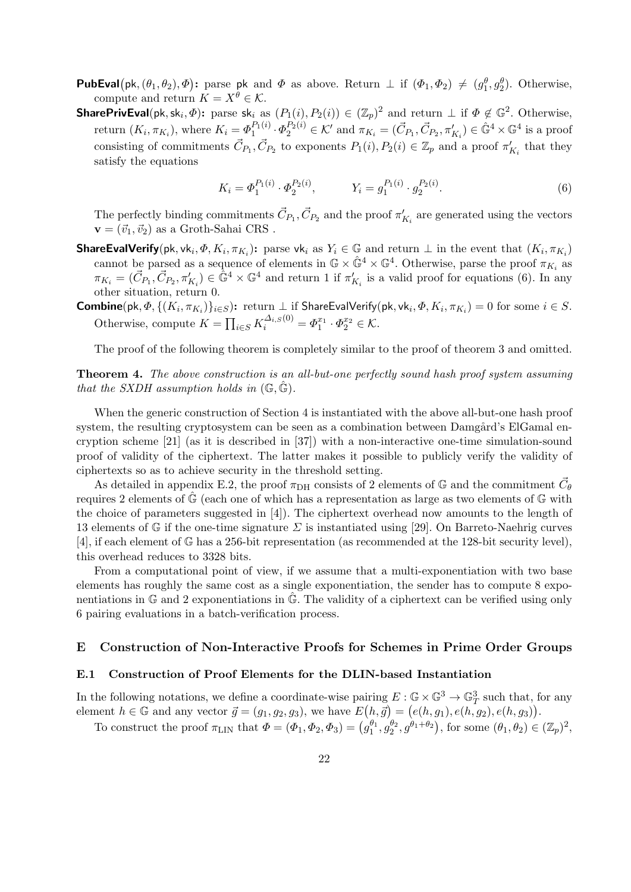- **PubEval**(pk,  $(\theta_1, \theta_2), \Phi$ ): parse pk and  $\Phi$  as above. Return  $\perp$  if  $(\Phi_1, \Phi_2) \neq (g_1^{\theta}, g_2^{\theta})$ . Otherwise, compute and return  $K = X^{\theta} \in \mathcal{K}$ .
- **SharePrivEval**(pk, sk<sub>i</sub>,  $\Phi$ ): parse sk<sub>i</sub> as  $(P_1(i), P_2(i)) \in (\mathbb{Z}_p)^2$  and return  $\perp$  if  $\Phi \notin \mathbb{G}^2$ . Otherwise, return  $(K_i, \pi_{K_i})$ , where  $K_i = \Phi_1^{P_1(i)}$  $I_1^{P_1(i)} \cdot \Phi_2^{P_2(i)} \in \mathcal{K}'$  and  $\pi_{K_i} = (\vec{C}_{P_1}, \vec{C}_{P_2}, \pi'_{K_i}) \in \hat{\mathbb{G}}^4 \times \mathbb{G}^4$  is a proof consisting of commitments  $\vec{C}_{P_1}, \vec{C}_{P_2}$  to exponents  $P_1(i), P_2(i) \in \mathbb{Z}_p$  and a proof  $\pi'_{K_i}$  that they satisfy the equations

$$
K_i = \Phi_1^{P_1(i)} \cdot \Phi_2^{P_2(i)}, \qquad \qquad Y_i = g_1^{P_1(i)} \cdot g_2^{P_2(i)}.
$$
 (6)

The perfectly binding commitments  $\vec{C}_{P_1}, \vec{C}_{P_2}$  and the proof  $\pi'_{K_i}$  are generated using the vectors  $\mathbf{v} = (\vec{v}_1, \vec{v}_2)$  as a Groth-Sahai CRS.

- **ShareEvalVerify**(pk, vk<sub>i</sub>,  $\Phi$ ,  $K_i$ ,  $\pi_{K_i}$ ): parse vk<sub>i</sub> as  $Y_i \in \mathbb{G}$  and return  $\perp$  in the event that  $(K_i, \pi_{K_i})$ cannot be parsed as a sequence of elements in  $\mathbb{G} \times \hat{\mathbb{G}}^4 \times \mathbb{G}^4$ . Otherwise, parse the proof  $\pi_{K_i}$  as  $\pi_{K_i} = (\vec{C}_{P_1}, \vec{C}_{P_2}, \pi'_{K_i}) \in \hat{\mathbb{G}}^4 \times \mathbb{G}^4$  and return 1 if  $\pi'_{K_i}$  is a valid proof for equations (6). In any other situation, return 0.
- **Combine**(pk,  $\Phi$ ,  $\{(K_i, \pi_{K_i})\}_{i \in S}$ ): return  $\perp$  if ShareEvalVerify(pk, vk<sub>i</sub>,  $\Phi$ ,  $K_i$ ,  $\pi_{K_i}$ ) = 0 for some  $i \in S$ . Otherwise, compute  $K = \prod_{i \in S} K_i^{\Delta_{i,S}(0)} = \Phi_1^{x_1} \cdot \Phi_2^{x_2} \in \mathcal{K}$ .

The proof of the following theorem is completely similar to the proof of theorem 3 and omitted.

Theorem 4. The above construction is an all-but-one perfectly sound hash proof system assuming that the SXDH assumption holds in  $(\mathbb{G}, \hat{\mathbb{G}})$ .

When the generic construction of Section 4 is instantiated with the above all-but-one hash proof system, the resulting cryptosystem can be seen as a combination between Damgård's ElGamal encryption scheme [21] (as it is described in [37]) with a non-interactive one-time simulation-sound proof of validity of the ciphertext. The latter makes it possible to publicly verify the validity of ciphertexts so as to achieve security in the threshold setting.

As detailed in appendix E.2, the proof  $\pi_{\text{DH}}$  consists of 2 elements of G and the commitment  $\vec{C}_{\theta}$ requires 2 elements of  $\mathbb{G}^{\prime}$  (each one of which has a representation as large as two elements of  $\mathbb{G}$  with the choice of parameters suggested in [4]). The ciphertext overhead now amounts to the length of 13 elements of  $\mathbb G$  if the one-time signature  $\Sigma$  is instantiated using [29]. On Barreto-Naehrig curves [4], if each element of G has a 256-bit representation (as recommended at the 128-bit security level), this overhead reduces to 3328 bits.

From a computational point of view, if we assume that a multi-exponentiation with two base elements has roughly the same cost as a single exponentiation, the sender has to compute 8 exponentiations in  $\mathbb{G}$  and 2 exponentiations in  $\mathbb{G}$ . The validity of a ciphertext can be verified using only 6 pairing evaluations in a batch-verification process.

# E Construction of Non-Interactive Proofs for Schemes in Prime Order Groups

#### E.1 Construction of Proof Elements for the DLIN-based Instantiation

In the following notations, we define a coordinate-wise pairing  $E : \mathbb{G} \times \mathbb{G}^3 \to \mathbb{G}_T^3$  such that, for any element  $h \in \mathbb{G}$  and any vector  $\vec{g} = (g_1, g_2, g_3)$ , we have  $E(h, \vec{g}) = (e(h, g_1), e(h, g_2), e(h, g_3))$ .

To construct the proof  $\pi_{\text{LIN}}$  that  $\Phi = (\Phi_1, \Phi_2, \Phi_3) = (g_1^{\theta_1}, g_2^{\theta_2}, g^{\theta_1+\theta_2}),$  for some  $(\theta_1, \theta_2) \in (\mathbb{Z}_p)^2$ ,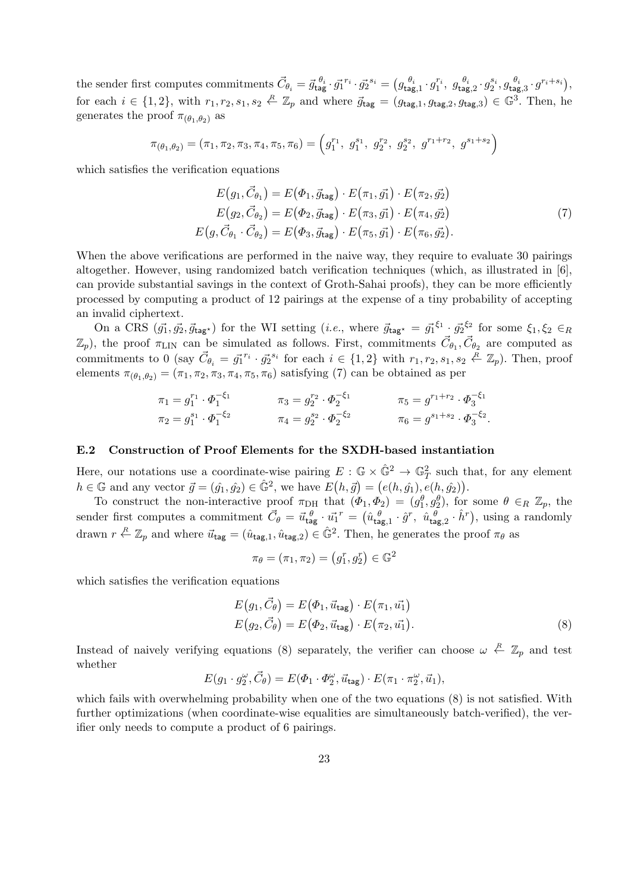the sender first computes commitments  $\vec{C}_{\theta_i} = \vec{g}_{\text{tag}}^{\theta_i} \cdot \vec{g}_1^{\pi_i} \cdot \vec{g}_2^{\pi_i} = (g_{\text{tag},1}^{\theta_i} \cdot g_1^{\pi_i}, g_{\text{tag},2}^{\theta_i} \cdot g_2^{\pi_i}, g_{\text{tag},3}^{\theta_i} \cdot g^{\pi_i+s_i}),$ for each  $i \in \{1,2\}$ , with  $r_1, r_2, s_1, s_2 \stackrel{R}{\leftarrow} \mathbb{Z}_p$  and where  $\vec{g}_{\text{tag}} = (g_{\text{tag},1}, g_{\text{tag},2}, g_{\text{tag},3}) \in \mathbb{G}^3$ . Then, he generates the proof  $\pi_{(\theta_1,\theta_2)}$  as

$$
\pi_{(\theta_1,\theta_2)} = (\pi_1, \pi_2, \pi_3, \pi_4, \pi_5, \pi_6) = \left(g_1^{r_1}, g_1^{s_1}, g_2^{r_2}, g_2^{s_2}, g^{r_1+r_2}, g^{s_1+s_2}\right)
$$

which satisfies the verification equations

$$
E(g_1, \vec{C}_{\theta_1}) = E(\Phi_1, \vec{g}_{\text{tag}}) \cdot E(\pi_1, \vec{g}_1) \cdot E(\pi_2, \vec{g}_2)
$$
  
\n
$$
E(g_2, \vec{C}_{\theta_2}) = E(\Phi_2, \vec{g}_{\text{tag}}) \cdot E(\pi_3, \vec{g}_1) \cdot E(\pi_4, \vec{g}_2)
$$
  
\n
$$
E(g, \vec{C}_{\theta_1} \cdot \vec{C}_{\theta_2}) = E(\Phi_3, \vec{g}_{\text{tag}}) \cdot E(\pi_5, \vec{g}_1) \cdot E(\pi_6, \vec{g}_2).
$$
\n(7)

When the above verifications are performed in the naive way, they require to evaluate 30 pairings altogether. However, using randomized batch verification techniques (which, as illustrated in [6], can provide substantial savings in the context of Groth-Sahai proofs), they can be more efficiently processed by computing a product of 12 pairings at the expense of a tiny probability of accepting an invalid ciphertext.

On a CRS  $(\vec{g_1}, \vec{g_2}, \vec{g_{\text{tag}}})$  for the WI setting  $(i.e.,$  where  $\vec{g}_{\text{tag}}^* = \vec{g_1}^{\xi_1} \cdot \vec{g_2}^{\xi_2}$  for some  $\xi_1, \xi_2 \in_R$  $(\mathbb{Z}_p)$ , the proof  $\pi_{\text{LIN}}$  can be simulated as follows. First, commitments  $\vec{C}_{\theta_1}, \vec{C}_{\theta_2}$  are computed as commitments to 0 (say  $\vec{C}_{\theta_i} = \vec{g_1}^{r_i} \cdot \vec{g_2}^{s_i}$  for each  $i \in \{1,2\}$  with  $r_1, r_2, s_1, s_2 \stackrel{R}{\leftarrow} \mathbb{Z}_p$ ). Then, proof elements  $\pi_{(\theta_1,\theta_2)} = (\pi_1,\pi_2,\pi_3,\pi_4,\pi_5,\pi_6)$  satisfying (7) can be obtained as per

$$
\begin{aligned}\n\pi_1 &= g_1^{r_1} \cdot \Phi_1^{-\xi_1} & \pi_3 &= g_2^{r_2} \cdot \Phi_2^{-\xi_1} & \pi_5 &= g^{r_1+r_2} \cdot \Phi_3^{-\xi_1} \\
\pi_2 &= g_1^{s_1} \cdot \Phi_1^{-\xi_2} & \pi_4 &= g_2^{s_2} \cdot \Phi_2^{-\xi_2} & \pi_6 &= g^{s_1+s_2} \cdot \Phi_3^{-\xi_2}.\n\end{aligned}
$$

## E.2 Construction of Proof Elements for the SXDH-based instantiation

Here, our notations use a coordinate-wise pairing  $E : \mathbb{G} \times \hat{\mathbb{G}}^2 \to \mathbb{G}_T^2$  such that, for any element  $h \in \mathbb{G}$  and any vector  $\vec{g} = (\hat{g}_1, \hat{g}_2) \in \hat{\mathbb{G}}^2$ , we have  $E(h, \vec{g}) = (e(h, \hat{g}_1), e(h, \hat{g}_2)).$ 

To construct the non-interactive proof  $\pi_{\text{DH}}$  that  $(\Phi_1, \Phi_2) = (g_1^{\theta}, g_2^{\theta})$ , for some  $\theta \in_R \mathbb{Z}_p$ , the sender first computes a commitment  $\vec{C}_{\theta} = \vec{u}_{\text{tag}}^{\theta} \cdot \vec{u_1}^r = (\hat{u}_{\text{tag},1}^{\theta} \cdot \hat{g}^r, \hat{u}_{\text{tag},2}^{\theta} \cdot \hat{h}^r),$  using a randomly drawn  $r \stackrel{R}{\leftarrow} \mathbb{Z}_p$  and where  $\vec{u}_{\text{tag}} = (\hat{u}_{\text{tag},1}, \hat{u}_{\text{tag},2}) \in \hat{\mathbb{G}}^2$ . Then, he generates the proof  $\pi_\theta$  as

$$
\pi_\theta=(\pi_1,\pi_2)=\left(g_1^r,g_2^r\right)\in\mathbb{G}^2
$$

which satisfies the verification equations

$$
E(g_1, \vec{C}_{\theta}) = E(\Phi_1, \vec{u}_{\text{tag}}) \cdot E(\pi_1, \vec{u}_1)
$$
  
\n
$$
E(g_2, \vec{C}_{\theta}) = E(\Phi_2, \vec{u}_{\text{tag}}) \cdot E(\pi_2, \vec{u}_1).
$$
\n(8)

Instead of naively verifying equations (8) separately, the verifier can choose  $\omega \stackrel{R}{\leftarrow} \mathbb{Z}_p$  and test whether

$$
E(g_1 \cdot g_2^{\omega}, \vec{C}_{\theta}) = E(\Phi_1 \cdot \Phi_2^{\omega}, \vec{u}_{\text{tag}}) \cdot E(\pi_1 \cdot \pi_2^{\omega}, \vec{u}_1),
$$

which fails with overwhelming probability when one of the two equations (8) is not satisfied. With further optimizations (when coordinate-wise equalities are simultaneously batch-verified), the verifier only needs to compute a product of 6 pairings.